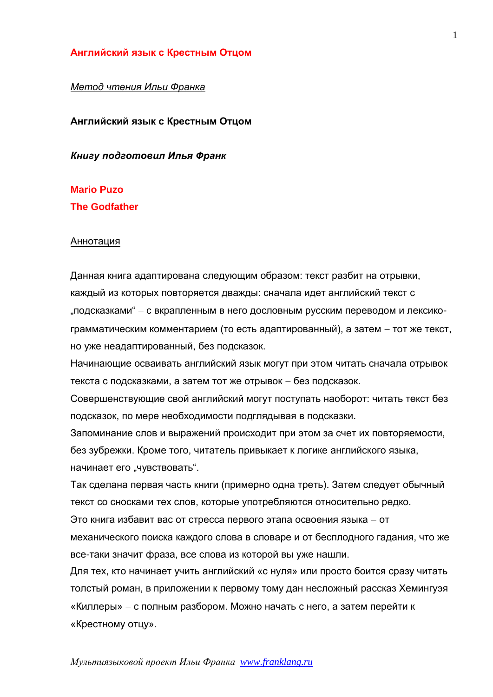### **Английский язык с Крестным Отцом**

#### *Метод чтения Ильи Франка*

**Английский язык с Крестным Отцом**

*Книгу подготовил Илья Франк*

## **Mario Puzo The Godfather**

#### Аннотация

Данная книга адаптирована следующим образом: текст разбит на отрывки, каждый из которых повторяется дважды: сначала идет английский текст с "подсказками" - с вкрапленным в него дословным русским переводом и лексикограмматическим комментарием (то есть адаптированный), а затем тот же текст, но уже неадаптированный, без подсказок.

Начинающие осваивать английский язык могут при этом читать сначала отрывок текста с подсказками, а затем тот же отрывок - без подсказок.

Совершенствующие свой английский могут поступать наоборот: читать текст без подсказок, по мере необходимости подглядывая в подсказки.

Запоминание слов и выражений происходит при этом за счет их повторяемости, без зубрежки. Кроме того, читатель привыкает к логике английского языка, начинает его "чувствовать".

Так сделана первая часть книги (примерно одна треть). Затем следует обычный текст со сносками тех слов, которые употребляются относительно редко.

Это книга избавит вас от стресса первого этапа освоения языка  $-$  от

механического поиска каждого слова в словаре и от бесплодного гадания, что же все-таки значит фраза, все слова из которой вы уже нашли.

Для тех, кто начинает учить английский «с нуля» или просто боится сразу читать толстый роман, в приложении к первому тому дан несложный рассказ Хемингуэя «Киллеры» с полным разбором. Можно начать с него, а затем перейти к «Крестному отцу».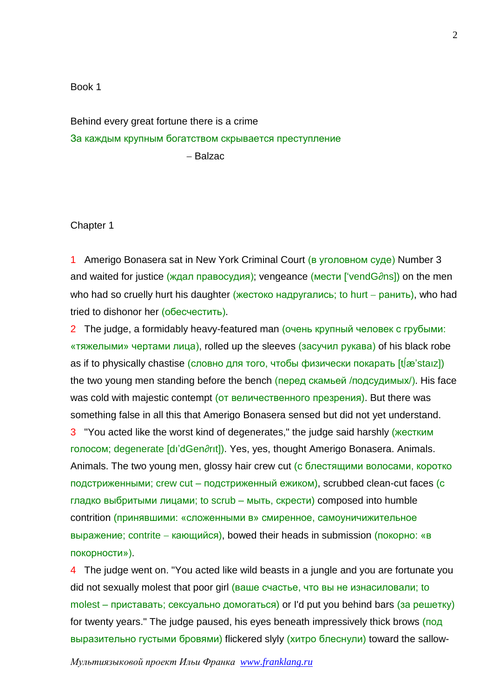#### Book 1

# Behind every great fortune there is a crime За каждым крупным богатством скрывается преступление Balzac

#### Chapter 1

1 Amerigo Bonasera sat in New York Criminal Court (в уголовном суде) Number 3 and waited for justice (ждал правосудия); vengeance (мести ['vendG∂ns]) on the men who had so cruelly hurt his daughter (жестоко надругались; to hurt  $-$  ранить), who had tried to dishonor her (обесчестить).

2 The judge, a formidably heavy-featured man (очень крупный человек с грубыми: «тяжелыми» чертами лица), rolled up the sleeves (засучил рукава) of his black robe as if to physically chastise (словно для того, чтобы физически покарать [t∫æ'staız]) the two young men standing before the bench (перед скамьей /подсудимых/). His face was cold with majestic contempt (от величественного презрения). But there was something false in all this that Amerigo Bonasera sensed but did not yet understand.

3 "You acted like the worst kind of degenerates," the judge said harshly (жестким голосом; degenerate [dı'dGen∂rıt]). Yes, yes, thought Amerigo Bonasera. Animals. Animals. The two young men, glossy hair crew cut (с блестящими волосами, коротко подстриженными; crew cut – подстриженный ежиком), scrubbed clean-cut faces (с гладко выбритыми лицами; to scrub – мыть, скрести) composed into humble contrition (принявшими: «сложенными в» смиренное, самоуничижительное выражение; contrite – кающийся), bowed their heads in submission (покорно: «в покорности»).

4 The judge went on. "You acted like wild beasts in a jungle and you are fortunate you did not sexually molest that poor girl (ваше счастье, что вы не изнасиловали; to molest *–* приставать; сексуально домогаться) or I'd put you behind bars (за решетку) for twenty years." The judge paused, his eyes beneath impressively thick brows (под выразительно густыми бровями) flickered slyly (хитро блеснули) toward the sallow-

2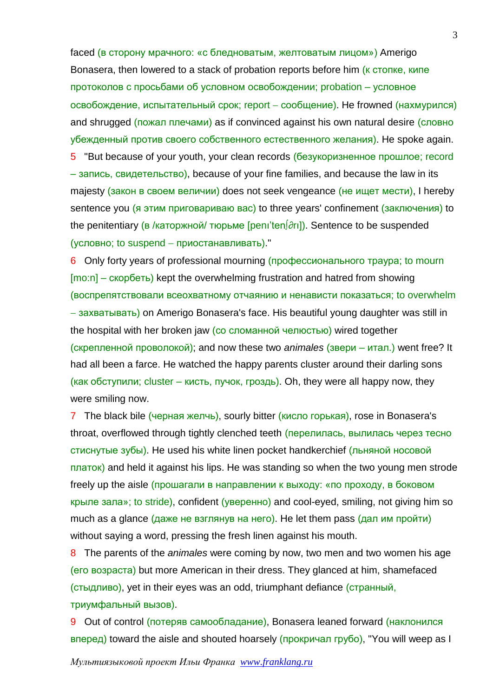faced (в сторону мрачного: «с бледноватым, желтоватым лицом») Amerigo Bonasera, then lowered to a stack of probation reports before him (к стопке, кипе протоколов с просьбами об условном освобождении; probation – условное освобождение, испытательный срок; report – сообщение). Не frowned (нахмурился) and shrugged (пожал плечами) as if convinced against his own natural desire (словно убежденный против своего собственного естественного желания). He spoke again.

5 "But because of your youth, your clean records (безукоризненное прошлое; record – запись, свидетельство), because of your fine families, and because the law in its majesty (закон в своем величии) does not seek vengeance (не ищет мести), I hereby sentence you (я этим приговариваю вас) to three years' confinement (заключения) to the penitentiary (в /каторжной/ тюрьме [penı'ten∫∂rı]). Sentence to be suspended (условно; to suspend - приостанавливать)."

6 Only forty years of professional mourning (профессионального траура; to mourn [mo:n] – скорбеть) kept the overwhelming frustration and hatred from showing (воспрепятствовали всеохватному отчаянию и ненависти показаться; to overwhelm захватывать) on Amerigo Bonasera's face. His beautiful young daughter was still in the hospital with her broken jaw (со сломанной челюстью) wired together (скрепленной проволокой); and now these two *animales* (звери – итал.) went free? It had all been a farce. He watched the happy parents cluster around their darling sons (как обступили; cluster – кисть, пучок, гроздь). Oh, they were all happy now, they were smiling now.

7 The black bile (черная желчь), sourly bitter (кисло горькая), rose in Bonasera's throat, overflowed through tightly clenched teeth (перелилась, вылилась через тесно стиснутые зубы). He used his white linen pocket handkerchief (льняной носовой платок) and held it against his lips. He was standing so when the two young men strode freely up the aisle (прошагали в направлении к выходу: «по проходу, в боковом крыле зала»; to stride), confident (уверенно) and cool-eyed, smiling, not giving him so much as a glance (даже не взглянув на него). Не let them pass (дал им пройти) without saying a word, pressing the fresh linen against his mouth.

8 The parents of the *animales* were coming by now, two men and two women his age (его возраста) but more American in their dress. They glanced at him, shamefaced (стыдливо), yet in their eyes was an odd, triumphant defiance (странный, триумфальный вызов).

9 Out of control (потеряв самообладание), Bonasera leaned forward (наклонился вперед) toward the aisle and shouted hoarsely (прокричал грубо), "You will weep as I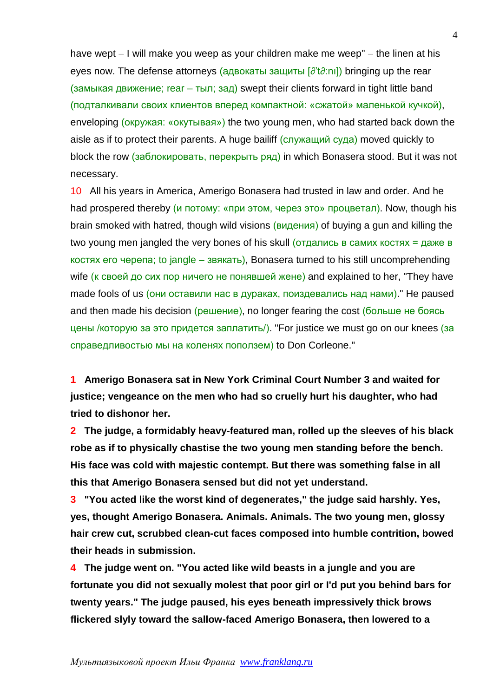have wept  $-1$  will make you weep as your children make me weep"  $-$  the linen at his eyes now. The defense attorneys (адвокаты защиты [∂'t∂:nı]) bringing up the rear (замыкая движение; rear – тыл; зад) swept their clients forward in tight little band (подталкивали своих клиентов вперед компактной: «сжатой» маленькой кучкой), enveloping (окружая: «окутывая») the two young men, who had started back down the aisle as if to protect their parents. A huge bailiff (служащий суда) moved quickly to block the row (заблокировать, перекрыть ряд) in which Bonasera stood. But it was not necessary.

10 All his years in America, Amerigo Bonasera had trusted in law and order. And he had prospered thereby (и потому: «при этом, через это» процветал). Now, though his brain smoked with hatred, though wild visions (видения) of buying a gun and killing the two young men jangled the very bones of his skull (отдались в самих костях = даже в костях его черепа; to jangle – звякать), Bonasera turned to his still uncomprehending wife (к своей до сих пор ничего не понявшей жене) and explained to her, "They have made fools of us (они оставили нас в дураках, поиздевались над нами)." He paused and then made his decision (решение), no longer fearing the cost (больше не боясь цены /которую за это придется заплатить/). "For justice we must go on our knees (за справедливостью мы на коленях поползем) to Don Corleone."

**1 Amerigo Bonasera sat in New York Criminal Court Number 3 and waited for justice; vengeance on the men who had so cruelly hurt his daughter, who had tried to dishonor her.**

**2 The judge, a formidably heavy-featured man, rolled up the sleeves of his black robe as if to physically chastise the two young men standing before the bench. His face was cold with majestic contempt. But there was something false in all this that Amerigo Bonasera sensed but did not yet understand.**

**3 "You acted like the worst kind of degenerates," the judge said harshly. Yes, yes, thought Amerigo Bonasera. Animals. Animals. The two young men, glossy hair crew cut, scrubbed clean-cut faces composed into humble contrition, bowed their heads in submission.**

**4 The judge went on. "You acted like wild beasts in a jungle and you are fortunate you did not sexually molest that poor girl or I'd put you behind bars for twenty years." The judge paused, his eyes beneath impressively thick brows flickered slyly toward the sallow-faced Amerigo Bonasera, then lowered to a**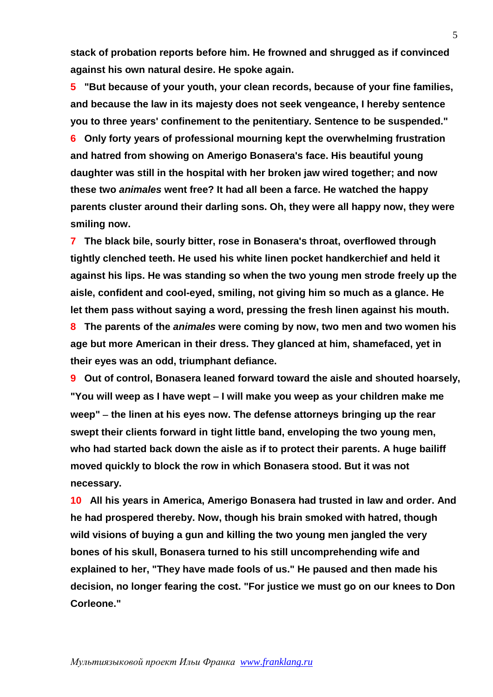**stack of probation reports before him. He frowned and shrugged as if convinced against his own natural desire. He spoke again.**

**5 "But because of your youth, your clean records, because of your fine families, and because the law in its majesty does not seek vengeance, I hereby sentence you to three years' confinement to the penitentiary. Sentence to be suspended." 6 Only forty years of professional mourning kept the overwhelming frustration and hatred from showing on Amerigo Bonasera's face. His beautiful young daughter was still in the hospital with her broken jaw wired together; and now these two** *animales* **went free? It had all been a farce. He watched the happy parents cluster around their darling sons. Oh, they were all happy now, they were smiling now.**

**7 The black bile, sourly bitter, rose in Bonasera's throat, overflowed through tightly clenched teeth. He used his white linen pocket handkerchief and held it against his lips. He was standing so when the two young men strode freely up the aisle, confident and cool-eyed, smiling, not giving him so much as a glance. He let them pass without saying a word, pressing the fresh linen against his mouth. 8 The parents of the** *animales* **were coming by now, two men and two women his** 

**age but more American in their dress. They glanced at him, shamefaced, yet in their eyes was an odd, triumphant defiance.**

**9 Out of control, Bonasera leaned forward toward the aisle and shouted hoarsely, "You will weep as I have wept I will make you weep as your children make me weep" the linen at his eyes now. The defense attorneys bringing up the rear swept their clients forward in tight little band, enveloping the two young men, who had started back down the aisle as if to protect their parents. A huge bailiff moved quickly to block the row in which Bonasera stood. But it was not necessary.**

**10 All his years in America, Amerigo Bonasera had trusted in law and order. And he had prospered thereby. Now, though his brain smoked with hatred, though wild visions of buying a gun and killing the two young men jangled the very bones of his skull, Bonasera turned to his still uncomprehending wife and explained to her, "They have made fools of us." He paused and then made his decision, no longer fearing the cost. "For justice we must go on our knees to Don Corleone."**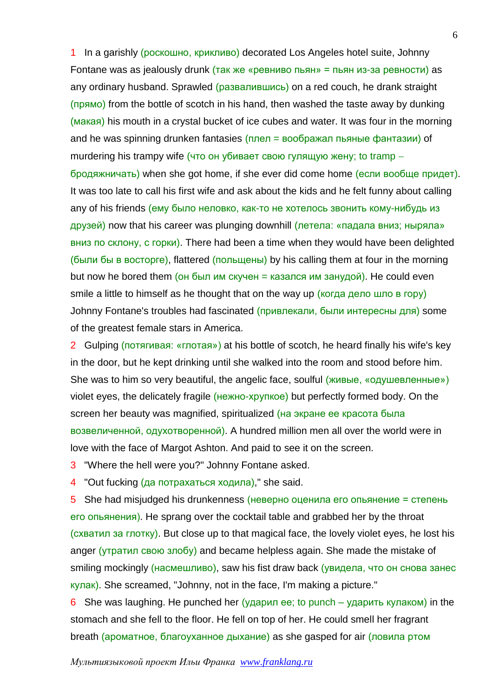1 In a garishly (роскошно, крикливо) decorated Los Angeles hotel suite, Johnny Fontane was as jealously drunk (так же «ревниво пьян» = пьян из-за ревности) as any ordinary husband. Sprawled (развалившись) on a red couch, he drank straight (прямо) from the bottle of scotch in his hand, then washed the taste away by dunking (макая) his mouth in a crystal bucket of ice cubes and water. It was four in the morning and he was spinning drunken fantasies (плел = воображал пьяные фантазии) of murdering his trampy wife (что он убивает свою гулящую жену; to tramp  $$ бродяжничать) when she got home, if she ever did come home (если вообще придет). It was too late to call his first wife and ask about the kids and he felt funny about calling any of his friends (ему было неловко, как-то не хотелось звонить кому-нибудь из друзей) now that his career was plunging downhill (летела: «падала вниз; ныряла» вниз по склону, с горки). There had been a time when they would have been delighted (были бы в восторге), flattered (польщены) by his calling them at four in the morning but now he bored them (он был им скучен = казался им занудой). He could even smile a little to himself as he thought that on the way up (когда дело шло в гору) Johnny Fontane's troubles had fascinated (привлекали, были интересны для) some of the greatest female stars in America.

2 Gulping (потягивaя: «глотая») at his bottle of scotch, he heard finally his wife's key in the door, but he kept drinking until she walked into the room and stood before him. She was to him so very beautiful, the angelic face, soulful (живые, «одушевленные») violet eyes, the delicately fragile (нежно-хрупкое) but perfectly formed body. On the screen her beauty was magnified, spiritualized (на экране ее красота была возвеличенной, одухотворенной). A hundred million men all over the world were in love with the face of Margot Ashton. And paid to see it on the screen.

3 "Where the hell were you?" Johnny Fontane asked.

4 "Out fucking (да потрахаться ходила)," she said.

5 She had misjudged his drunkenness (неверно оценила его опьянение = степень его опьянения). He sprang over the cocktail table and grabbed her by the throat (схватил за глотку). But close up to that magical face, the lovely violet eyes, he lost his anger (утратил свою злобу) and became helpless again. She made the mistake of smiling mockingly (насмешливо), saw his fist draw back (увидела, что он снова занес кулак). She screamed, "Johnny, not in the face, I'm making a picture."

6 She was laughing. He punched her (ударил ее; to punch – ударить кулаком) in the stomach and she fell to the floor. He fell on top of her. He could smell her fragrant breath (ароматное, благоуханное дыхание) as she gasped for air (ловила ртом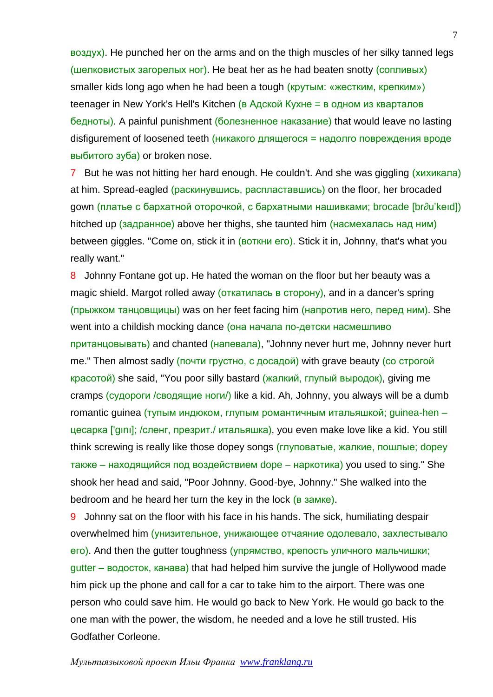воздух). He punched her on the arms and on the thigh muscles of her silky tanned legs (шелковистых загорелых ног). He beat her as he had beaten snotty (сопливых) smaller kids long ago when he had been a tough (крутым: «жестким, крепким») teenager in New York's Hell's Kitchen (в Адской Кухне = в одном из кварталов бедноты). A painful punishment (болезненное наказание) that would leave no lasting disfigurement of loosened teeth (никакого длящегося = надолго повреждения вроде выбитого зуба) or broken nose.

7 But he was not hitting her hard enough. He couldn't. And she was giggling (хихикала) at him. Spread-eagled (раскинувшись, распластавшись) on the floor, her brocaded gown (платье с бархатной оторочкой, с бархатными нашивками; brocade [br∂u'keıd]) hitched up (задранное) above her thighs, she taunted him (насмехалась над ним) between giggles. "Come on, stick it in (воткни его). Stick it in, Johnny, that's what you really want."

8 Johnny Fontane got up. He hated the woman on the floor but her beauty was a magic shield. Margot rolled away (откатилась в сторону), and in a dancer's spring (прыжком танцовщицы) was on her feet facing him (напротив него, перед ним). She went into a childish mocking dance (она начала по-детски насмешливо пританцовывать) and chanted (напевала), "Johnny never hurt me, Johnny never hurt me." Then almost sadly (почти грустно, с досадой) with grave beauty (со строгой красотой) she said, "You poor silly bastard (жалкий, глупый выродок), giving me cramps (судороги /сводящие ноги/) like a kid. Ah, Johnny, you always will be a dumb romantic guinea (тупым индюком, глупым романтичным итальяшкой; guinea-hen – цесарка ['gını]; /сленг, презрит./ итальяшка), you even make love like a kid. You still think screwing is really like those dopey songs (глуповатые, жалкие, пошлые; dopey также – находящийся под воздействием dope наркотика) you used to sing." She shook her head and said, "Poor Johnny. Good-bye, Johnny." She walked into the bedroom and he heard her turn the key in the lock (в замке).

9 Johnny sat on the floor with his face in his hands. The sick, humiliating despair overwhelmed him (унизительное, унижающее отчаяние одолевало, захлестывало его). And then the gutter toughness (упрямство, крепость уличного мальчишки; gutter – водосток, канава) that had helped him survive the jungle of Hollywood made him pick up the phone and call for a car to take him to the airport. There was one person who could save him. He would go back to New York. He would go back to the one man with the power, the wisdom, he needed and a love he still trusted. His Godfather Corleone.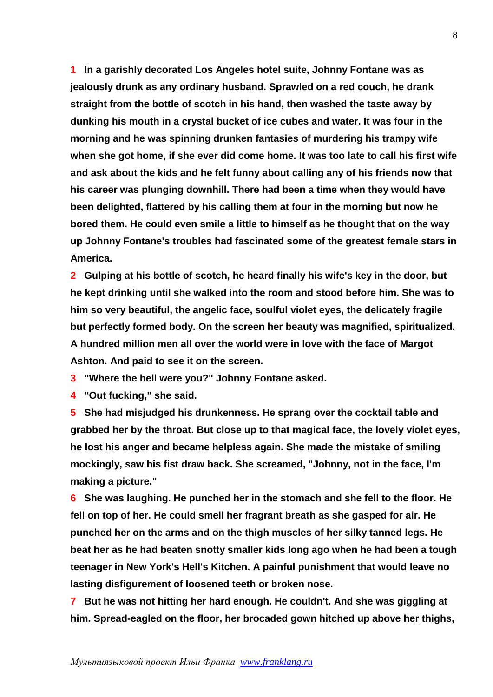**1 In a garishly decorated Los Angeles hotel suite, Johnny Fontane was as jealously drunk as any ordinary husband. Sprawled on a red couch, he drank straight from the bottle of scotch in his hand, then washed the taste away by dunking his mouth in a crystal bucket of ice cubes and water. It was four in the morning and he was spinning drunken fantasies of murdering his trampy wife when she got home, if she ever did come home. It was too late to call his first wife and ask about the kids and he felt funny about calling any of his friends now that his career was plunging downhill. There had been a time when they would have been delighted, flattered by his calling them at four in the morning but now he bored them. He could even smile a little to himself as he thought that on the way up Johnny Fontane's troubles had fascinated some of the greatest female stars in America.**

**2 Gulping at his bottle of scotch, he heard finally his wife's key in the door, but he kept drinking until she walked into the room and stood before him. She was to him so very beautiful, the angelic face, soulful violet eyes, the delicately fragile but perfectly formed body. On the screen her beauty was magnified, spiritualized. A hundred million men all over the world were in love with the face of Margot Ashton. And paid to see it on the screen.**

**3 "Where the hell were you?" Johnny Fontane asked.**

**4 "Out fucking," she said.**

**5 She had misjudged his drunkenness. He sprang over the cocktail table and grabbed her by the throat. But close up to that magical face, the lovely violet eyes, he lost his anger and became helpless again. She made the mistake of smiling mockingly, saw his fist draw back. She screamed, "Johnny, not in the face, I'm making a picture."**

**6 She was laughing. He punched her in the stomach and she fell to the floor. He fell on top of her. He could smell her fragrant breath as she gasped for air. He punched her on the arms and on the thigh muscles of her silky tanned legs. He beat her as he had beaten snotty smaller kids long ago when he had been a tough teenager in New York's Hell's Kitchen. A painful punishment that would leave no lasting disfigurement of loosened teeth or broken nose.** 

**7 But he was not hitting her hard enough. He couldn't. And she was giggling at him. Spread-eagled on the floor, her brocaded gown hitched up above her thighs,**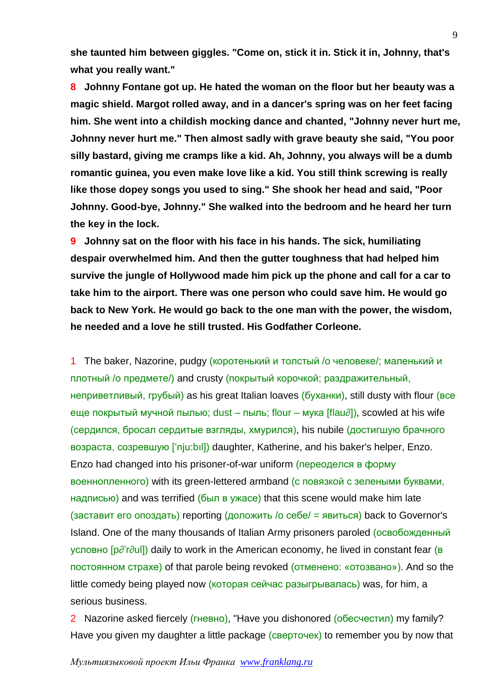**she taunted him between giggles. "Come on, stick it in. Stick it in, Johnny, that's what you really want."**

**8 Johnny Fontane got up. He hated the woman on the floor but her beauty was a magic shield. Margot rolled away, and in a dancer's spring was on her feet facing him. She went into a childish mocking dance and chanted, "Johnny never hurt me, Johnny never hurt me." Then almost sadly with grave beauty she said, "You poor silly bastard, giving me cramps like a kid. Ah, Johnny, you always will be a dumb romantic guinea, you even make love like a kid. You still think screwing is really like those dopey songs you used to sing." She shook her head and said, "Poor Johnny. Good-bye, Johnny." She walked into the bedroom and he heard her turn the key in the lock.**

**9 Johnny sat on the floor with his face in his hands. The sick, humiliating despair overwhelmed him. And then the gutter toughness that had helped him survive the jungle of Hollywood made him pick up the phone and call for a car to take him to the airport. There was one person who could save him. He would go back to New York. He would go back to the one man with the power, the wisdom, he needed and a love he still trusted. His Godfather Corleone.**

1 The baker, Nazorine, pudgy (коротенький и толстый /о человеке/; маленький и плотный /о предмете/) and crusty (покрытый корочкой; раздражительный, неприветливый, грубый) as his great Italian loaves (буханки), still dusty with flour (все еще покрытый мучной пылью; dust – пыль; flour – мука [flau∂]), scowled at his wife (сердился, бросал сердитые взгляды, хмурился), his nubile (достигшую брачного возраста, созревшую ['nju:bıl]) daughter, Katherine, and his baker's helper, Enzo. Enzo had changed into his prisoner-of-war uniform (переоделся в форму военнопленного) with its green-lettered armband (с повязкой с зелеными буквами, надписью) and was terrified (был в ужасе) that this scene would make him late  $(a^2 - b^2)$  (заставит его опоздать) reporting  $(a^2 - b^2)$  /  $(c^2 - b^2)$  = явиться) back to Governor's Island. One of the many thousands of Italian Army prisoners paroled (освобожденный условно [p∂'r∂ul]) daily to work in the American economy, he lived in constant fear (в постоянном страхе) of that parole being revoked (отменено: «отозвано»). And so the little comedy being played now (которая сейчас разыгрывалась) was, for him, a serious business.

2 Nazorine asked fiercely (гневно), "Have you dishonored (обесчестил) my family? Have you given my daughter a little package (сверточек) to remember you by now that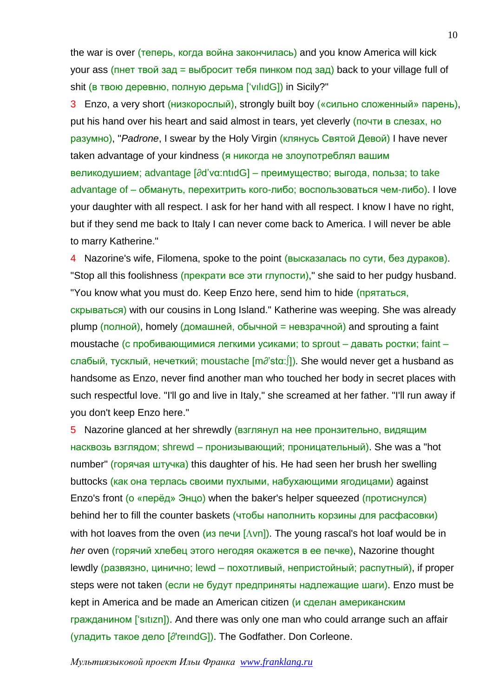the war is over (теперь, когда война закончилась) and you know America will kick your ass (пнет твой зад = выбросит тебя пинком под зад) back to your village full of shit (в твою деревню, полную дерьма ['vilidG]) in Sicily?"

3 Enzo, a very short (низкорослый), strongly built boy («сильно сложенный» парень), put his hand over his heart and said almost in tears, yet cleverly (почти в слезах, но разумно), "*Padrone*, I swear by the Holy Virgin (клянусь Святой Девой) I have never taken advantage of your kindness (я никогда не злоупотреблял вашим великодушием; advantage [∂d'vα:ntidG] – преимущество; выгода, польза; to take advantage of – обмануть, перехитрить кого-либо; воспользоваться чем-либо). I love your daughter with all respect. I ask for her hand with all respect. I know I have no right, but if they send me back to Italy I can never come back to America. I will never be able to marry Katherine."

4 Nazorine's wife, Filomena, spoke to the point (высказалась по сути, без дураков). "Stop all this foolishness (прекрати все эти глупости)," she said to her pudgy husband. "You know what you must do. Keep Enzo here, send him to hide (прятаться, скрываться) with our cousins in Long Island." Katherine was weeping. She was already  $plump (nonho\ddot{\theta})$ , homely (домашней, обычной = невзрачной) and sprouting a faint moustache (с пробивающимися легкими усиками; to sprout – давать ростки; faint – слабый, тусклый, нечеткий; moustache [m∂'stα:∫]). She would never get a husband as handsome as Enzo, never find another man who touched her body in secret places with such respectful love. "I'll go and live in Italy," she screamed at her father. "I'll run away if you don't keep Enzo here."

5 Nazorine glanced at her shrewdly (взглянул на нее пронзительно, видящим насквозь взглядом; shrewd – пронизывающий; проницательный). She was a "hot number" (горячая штучка) this daughter of his. He had seen her brush her swelling buttocks (как она терлась своими пухлыми, набухающими ягодицами) against Enzo's front (о «перёд» Энцо) when the baker's helper squeezed (протиснулся) behind her to fill the counter baskets (чтобы наполнить корзины для расфасовки) with hot loaves from the oven ( $\mu$ 3 печи  $[\Delta$ vn]). The young rascal's hot loaf would be in *her* oven (горячий хлебец этого негодяя окажется в ее печке), Nazorine thought lewdly (развязно, цинично; lewd – похотливый, непристойный; распутный), if proper steps were not taken (если не будут предприняты надлежащие шаги). Enzo must be kept in America and be made an American citizen (и сделан американским гражданином ['sıtızn]). And there was only one man who could arrange such an affair (уладить такое дело [∂'reındG]). The Godfather. Don Corleone.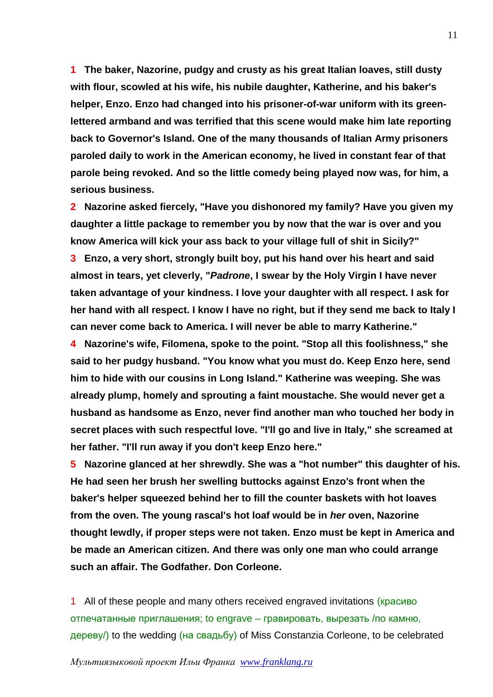**1 The baker, Nazorine, pudgy and crusty as his great Italian loaves, still dusty with flour, scowled at his wife, his nubile daughter, Katherine, and his baker's helper, Enzo. Enzo had changed into his prisoner-of-war uniform with its greenlettered armband and was terrified that this scene would make him late reporting back to Governor's Island. One of the many thousands of Italian Army prisoners paroled daily to work in the American economy, he lived in constant fear of that parole being revoked. And so the little comedy being played now was, for him, a serious business.** 

**2 Nazorine asked fiercely, "Have you dishonored my family? Have you given my daughter a little package to remember you by now that the war is over and you know America will kick your ass back to your village full of shit in Sicily?"**

**3 Enzo, a very short, strongly built boy, put his hand over his heart and said almost in tears, yet cleverly, "***Padrone***, I swear by the Holy Virgin I have never taken advantage of your kindness. I love your daughter with all respect. I ask for her hand with all respect. I know I have no right, but if they send me back to Italy I can never come back to America. I will never be able to marry Katherine."** 

**4 Nazorine's wife, Filomena, spoke to the point. "Stop all this foolishness," she said to her pudgy husband. "You know what you must do. Keep Enzo here, send him to hide with our cousins in Long Island." Katherine was weeping. She was already plump, homely and sprouting a faint moustache. She would never get a husband as handsome as Enzo, never find another man who touched her body in secret places with such respectful love. "I'll go and live in Italy," she screamed at her father. "I'll run away if you don't keep Enzo here."** 

**5 Nazorine glanced at her shrewdly. She was a "hot number" this daughter of his. He had seen her brush her swelling buttocks against Enzo's front when the baker's helper squeezed behind her to fill the counter baskets with hot loaves from the oven. The young rascal's hot loaf would be in** *her* **oven, Nazorine thought lewdly, if proper steps were not taken. Enzo must be kept in America and be made an American citizen. And there was only one man who could arrange such an affair. The Godfather. Don Corleone.** 

1 All of these people and many others received engraved invitations (красиво отпечатанные приглашения; to engrave – гравировать, вырезать /по камню, дереву/) to the wedding (на свадьбу) of Miss Constanzia Corleone, to be celebrated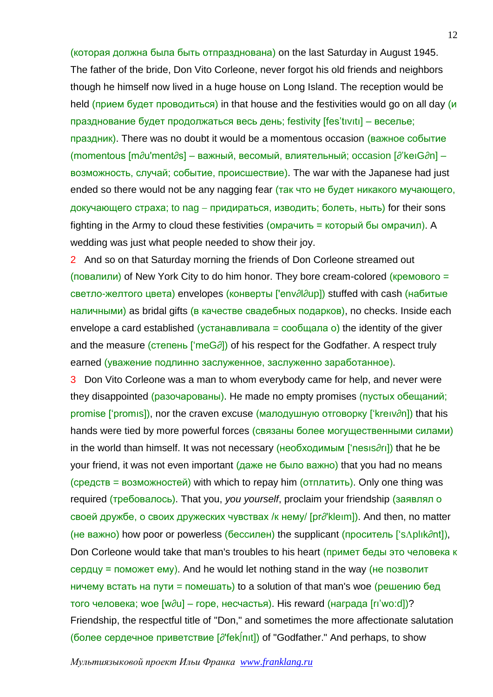(которая должна была быть отпразднована) on the last Saturday in August 1945. The father of the bride, Don Vito Corleone, never forgot his old friends and neighbors though he himself now lived in a huge house on Long Island. The reception would be held (прием будет проводиться) in that house and the festivities would go on all day (и празднование будет продолжаться весь день; festivity [fes'tıvıtı] – веселье; праздник). There was no doubt it would be a momentous occasion (важное событие (momentous [m∂u'ment∂s] – важный, весомый, влиятельный; occasion [∂'keıG∂n] – возможность, случай; событие, происшествие). The war with the Japanese had just ended so there would not be any nagging fear (так что не будет никакого мучающего, докучающего страха; to nag – придираться, изводить; болеть, ныть) for their sons fighting in the Army to cloud these festivities (омрачить = который бы омрачил). A wedding was just what people needed to show their joy.

2 And so on that Saturday morning the friends of Don Corleone streamed out (повалили) of New York City to do him honor. They bore cream-colored (кремового  $=$ светло-желтого цвета) envelopes (конверты ['env∂l∂up]) stuffed with cash (набитые наличными) as bridal gifts (в качестве свадебных подарков), no checks. Inside each envelope a card established (устанавливала = сообщала  $\circ$ ) the identity of the giver and the measure (степень ['meG∂]) of his respect for the Godfather. A respect truly earned (уважение подлинно заслуженное, заслуженно заработанное).

3 Don Vito Corleone was a man to whom everybody came for help, and never were they disappointed (разочарованы). He made no empty promises (пустых обещаний; promise ['promıs]), nor the craven excuse (малодушную отговорку ['kreıv∂n]) that his hands were tied by more powerful forces (связаны более могущественными силами) in the world than himself. It was not necessary (необходимым ['nesıs∂rı]) that he be your friend, it was not even important (даже не было важно) that you had no means  $(cpeqctB = Bo3MOXHOCTEW)$  with which to repay him  $(OT\Pi JATWT)$ . Only one thing was required (требовалось). That you, *you yourself*, proclaim your friendship (заявлял о своей дружбе, о своих дружеских чувствах /к нему/ [pr∂'kleım]). And then, no matter (не важно) how poor or powerless (бессилен) the supplicant (проситель ['s∆plık∂nt]), Don Corleone would take that man's troubles to his heart (примет беды это человека к  $ce$ оердцу = поможет ему). And he would let nothing stand in the way (не позволит ничему встать на пути = помешать) to a solution of that man's woe (решению бед того человека; woe [w∂u] – горе, несчастья). His reward (награда [rı'wo:d])? Friendship, the respectful title of "Don," and sometimes the more affectionate salutation (более сердечное приветствие [∂'fek∫nıt]) of "Godfather." And perhaps, to show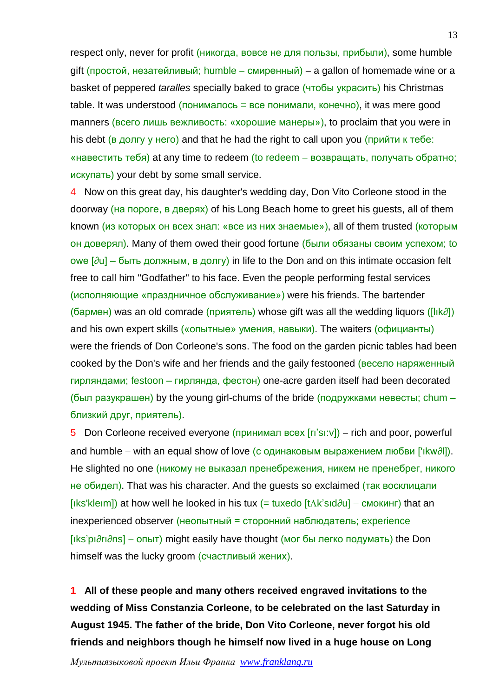respect only, never for profit (никогда, вовсе не для пользы, прибыли), some humble  $q$ ift (простой, незатейливый; humble – смиренный) – a gallon of homemade wine or a basket of peppered *taralles* specially baked to grace (чтобы украсить) his Christmas table. It was understood (понималось = все понимали, конечно), it was mere good manners (всего лишь вежливость: «хорошие манеры»), to proclaim that you were in his debt (в долгу у него) and that he had the right to call upon you (прийти к тебе: «навестить тебя) at any time to redeem (to redeem  $-$  возвращать, получать обратно; искупать) your debt by some small service.

4 Now on this great day, his daughter's wedding day, Don Vito Corleone stood in the doorway (на пороге, в дверях) of his Long Beach home to greet his guests, all of them known (из которых он всех знал: «все из них знаемые»), all of them trusted (которым он доверял). Many of them owed their good fortune (были обязаны своим успехом; to owe [∂u] – быть должным, в долгу) in life to the Don and on this intimate occasion felt free to call him "Godfather" to his face. Even the people performing festal services (исполняющие «праздничное обслуживание») were his friends. The bartender (бармен) was an old comrade (приятель) whose gift was all the wedding liquors ([lık∂]) and his own expert skills («опытные» умения, навыки). The waiters (официанты) were the friends of Don Corleone's sons. The food on the garden picnic tables had been cooked by the Don's wife and her friends and the gaily festooned (весело наряженный гирляндами; festoon – гирлянда, фестон) one-acre garden itself had been decorated (был разукрашен) by the young girl-chums of the bride (подружками невесты; chum – близкий друг, приятель).

5 Don Corleone received everyone (принимал всех  $[ri's]:v]$ ) – rich and poor, powerful and humble – with an equal show of love (с одинаковым выражением любви [' $\kappa$ w $\partial$ l]). He slighted no one (никому не выказал пренебрежения, никем не пренебрег, никого не обидел). That was his character. And the guests so exclaimed (так восклицали [iks'kleim]) at how well he looked in his tux (= tuxedo [t∆k'sıd∂u] – смокинг) that an inexperienced observer (неопытный = сторонний наблюдатель; experience [ıks'pı∂rı∂ns] опыт) might easily have thought (мог бы легко подумать) the Don himself was the lucky groom (счастливый жених).

**1 All of these people and many others received engraved invitations to the wedding of Miss Constanzia Corleone, to be celebrated on the last Saturday in August 1945. The father of the bride, Don Vito Corleone, never forgot his old friends and neighbors though he himself now lived in a huge house on Long**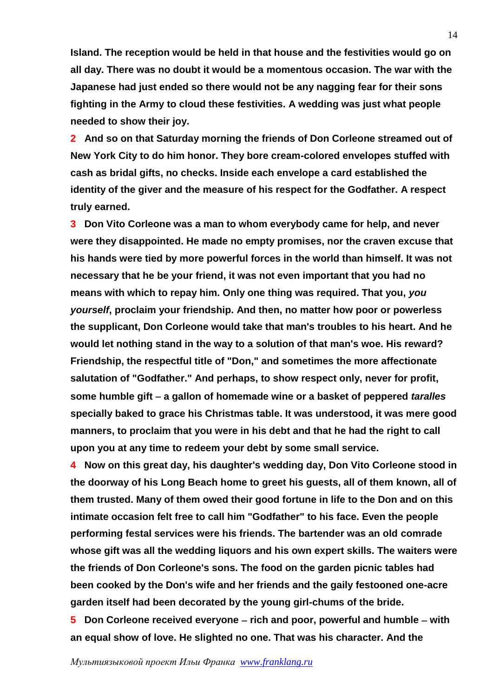**Island. The reception would be held in that house and the festivities would go on all day. There was no doubt it would be a momentous occasion. The war with the Japanese had just ended so there would not be any nagging fear for their sons fighting in the Army to cloud these festivities. A wedding was just what people needed to show their joy.** 

**2 And so on that Saturday morning the friends of Don Corleone streamed out of New York City to do him honor. They bore cream-colored envelopes stuffed with cash as bridal gifts, no checks. Inside each envelope a card established the identity of the giver and the measure of his respect for the Godfather. A respect truly earned.** 

**3 Don Vito Corleone was a man to whom everybody came for help, and never were they disappointed. He made no empty promises, nor the craven excuse that his hands were tied by more powerful forces in the world than himself. It was not necessary that he be your friend, it was not even important that you had no means with which to repay him. Only one thing was required. That you,** *you yourself***, proclaim your friendship. And then, no matter how poor or powerless the supplicant, Don Corleone would take that man's troubles to his heart. And he would let nothing stand in the way to a solution of that man's woe. His reward? Friendship, the respectful title of "Don," and sometimes the more affectionate salutation of "Godfather." And perhaps, to show respect only, never for profit, some humble gift a gallon of homemade wine or a basket of peppered** *taralles* **specially baked to grace his Christmas table. It was understood, it was mere good manners, to proclaim that you were in his debt and that he had the right to call upon you at any time to redeem your debt by some small service.** 

**4 Now on this great day, his daughter's wedding day, Don Vito Corleone stood in the doorway of his Long Beach home to greet his guests, all of them known, all of them trusted. Many of them owed their good fortune in life to the Don and on this intimate occasion felt free to call him "Godfather" to his face. Even the people performing festal services were his friends. The bartender was an old comrade whose gift was all the wedding liquors and his own expert skills. The waiters were the friends of Don Corleone's sons. The food on the garden picnic tables had been cooked by the Don's wife and her friends and the gaily festooned one-acre garden itself had been decorated by the young girl-chums of the bride.**

**5 Don Corleone received everyone rich and poor, powerful and humble with an equal show of love. He slighted no one. That was his character. And the**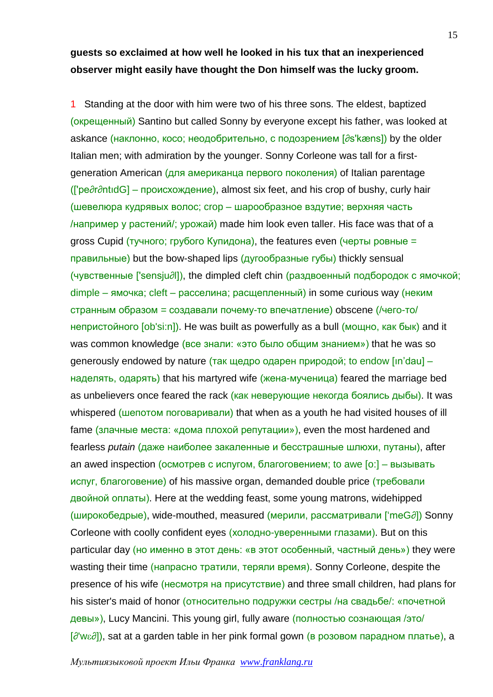### **guests so exclaimed at how well he looked in his tux that an inexperienced observer might easily have thought the Don himself was the lucky groom.**

1 Standing at the door with him were two of his three sons. The eldest, baptized (окрещенный) Santino but called Sonny by everyone except his father, was looked at askance (наклонно, косо; неодобрительно, с подозрением [∂s'kæns]) by the older Italian men; with admiration by the younger. Sonny Corleone was tall for a firstgeneration American (для американца первого поколения) of Italian parentage (['pe∂r∂ntıdG] – происхождение), almost six feet, and his crop of bushy, curly hair (шевелюра кудрявых волос; crop – шарообразное вздутие; верхняя часть /например у растений/; урожай) made him look even taller. His face was that of a gross Cupid (тучного; грубого Купидона), the features even (черты ровные = правильные) but the bow-shaped lips (дугообразные губы) thickly sensual (чувственные ['sensju∂l]), the dimpled cleft chin (раздвоенный подбородок с ямочкой; dimple – ямочка; cleft – расселина; расщепленный) in some curious way (неким странным образом = создавали почему-то впечатление) obscene (/чего-то/ непристойного [ob'si:n]). He was built as powerfully as a bull (мощно, как бык) and it was common knowledge (все знали: «это было общим знанием») that he was so generously endowed by nature (так щедро одарен природой; to endow [ın'dau] – наделять, одарять) that his martyred wife (жена-мученица) feared the marriage bed as unbelievers once feared the rack (как неверующие некогда боялись дыбы). It was whispered (шепотом поговаривали) that when as a youth he had visited houses of ill fame (злачные места: «дома плохой репутации»), even the most hardened and fearless *putain* (даже наиболее закаленные и бесстрашные шлюхи, путаны), after an awed inspection (осмотрев с испугом, благоговением; to awe [o:] – вызывать испуг, благоговение) of his massive organ, demanded double price (требовали двойной оплаты). Here at the wedding feast, some young matrons, widehipped (широкобедрые), wide-mouthed, measured (мерили, рассматривали ['meG∂]) Sonny Corleone with coolly confident eyes (холодно-уверенными глазами). But on this particular day (но именно в этот день: «в этот особенный, частный день») they were wasting their time (напрасно тратили, теряли время). Sonny Corleone, despite the presence of his wife (несмотря на присутствие) and three small children, had plans for his sister's maid of honor (относительно подружки сестры /на свадьбе/: «почетной девы»), Lucy Mancini. This young girl, fully aware (полностью сознающая /это/ [∂'w∂]), sat at a garden table in her pink formal gown (в розовом парадном платье), a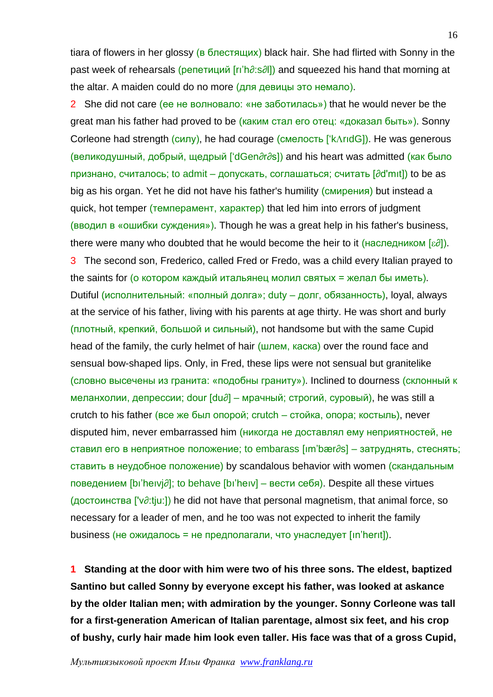tiara of flowers in her glossy (в блестящих) black hair. She had flirted with Sonny in the past week of rehearsals (репетиций [rı'h∂:s∂l]) and squeezed his hand that morning at the altar. A maiden could do no more (для девицы это немало).

2 She did not care (ее не волновало: «не заботилась») that he would never be the great man his father had proved to be (каким стал его отец: «доказал быть»). Sonny Corleone had strength (силу), he had courage (смелость ['kAridG]). He was generous (великодушный, добрый, щедрый ['dGen∂r∂s]) and his heart was admitted (как было признано, считалось; to admit – допускать, соглашаться; считать [∂d'mıt]) to be as big as his organ. Yet he did not have his father's humility (смирения) but instead a quick, hot temper (темперамент, характер) that led him into errors of judgment (вводил в «ошибки суждения»). Though he was a great help in his father's business, there were many who doubted that he would become the heir to it (наследником [ $\epsilon \partial$ ]). 3 The second son, Frederico, called Fred or Fredo, was a child every Italian prayed to the saints for (о котором каждый итальянец молил святых = желал бы иметь). Dutiful (исполнительный: «полный долга»; duty – долг, обязанность), loyal, always at the service of his father, living with his parents at age thirty. He was short and burly (плотный, крепкий, большой и сильный), not handsome but with the same Cupid head of the family, the curly helmet of hair (шлем, каска) over the round face and sensual bow-shaped lips. Only, in Fred, these lips were not sensual but granitelike (словно высечены из гранита: «подобны граниту»). Inclined to dourness (склонный к меланхолии, депрессии; dour [du∂] – мрачный; строгий, суровый), he was still a crutch to his father (все же был опорой; crutch – стойка, опора; костыль), never disputed him, never embarrassed him (никогда не доставлял ему неприятностей, не ставил его в неприятное положение; to embarass [ım'bær∂s] – затруднять, стеснять; ставить в неудобное положение) by scandalous behavior with women (скандальным поведением [bı'heıvj∂]; to behave [bı'heıv] – вести себя). Despite all these virtues (достоинства ['v∂:tju:]) he did not have that personal magnetism, that animal force, so necessary for a leader of men, and he too was not expected to inherit the family business (не ожидалось = не предполагали, что унаследует [ın'herıt]).

**1 Standing at the door with him were two of his three sons. The eldest, baptized Santino but called Sonny by everyone except his father, was looked at askance by the older Italian men; with admiration by the younger. Sonny Corleone was tall for a first-generation American of Italian parentage, almost six feet, and his crop of bushy, curly hair made him look even taller. His face was that of a gross Cupid,**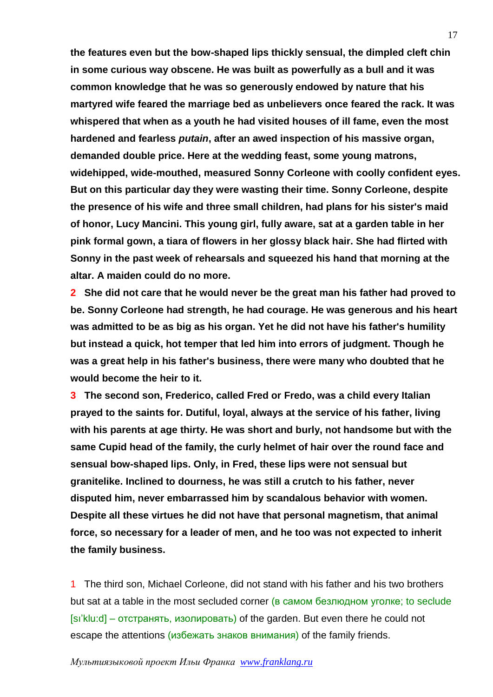**the features even but the bow-shaped lips thickly sensual, the dimpled cleft chin in some curious way obscene. He was built as powerfully as a bull and it was common knowledge that he was so generously endowed by nature that his martyred wife feared the marriage bed as unbelievers once feared the rack. It was whispered that when as a youth he had visited houses of ill fame, even the most hardened and fearless** *putain***, after an awed inspection of his massive organ, demanded double price. Here at the wedding feast, some young matrons, widehipped, wide-mouthed, measured Sonny Corleone with coolly confident eyes. But on this particular day they were wasting their time. Sonny Corleone, despite the presence of his wife and three small children, had plans for his sister's maid of honor, Lucy Mancini. This young girl, fully aware, sat at a garden table in her pink formal gown, a tiara of flowers in her glossy black hair. She had flirted with Sonny in the past week of rehearsals and squeezed his hand that morning at the altar. A maiden could do no more.**

**2 She did not care that he would never be the great man his father had proved to be. Sonny Corleone had strength, he had courage. He was generous and his heart was admitted to be as big as his organ. Yet he did not have his father's humility but instead a quick, hot temper that led him into errors of judgment. Though he was a great help in his father's business, there were many who doubted that he would become the heir to it.** 

**3 The second son, Frederico, called Fred or Fredo, was a child every Italian prayed to the saints for. Dutiful, loyal, always at the service of his father, living with his parents at age thirty. He was short and burly, not handsome but with the same Cupid head of the family, the curly helmet of hair over the round face and sensual bow-shaped lips. Only, in Fred, these lips were not sensual but granitelike. Inclined to dourness, he was still a crutch to his father, never disputed him, never embarrassed him by scandalous behavior with women. Despite all these virtues he did not have that personal magnetism, that animal force, so necessary for a leader of men, and he too was not expected to inherit the family business.**

1 The third son, Michael Corleone, did not stand with his father and his two brothers but sat at a table in the most secluded corner (в самом безлюдном уголке; to seclude [sı'klu:d] – отстранять, изолировать) of the garden. But even there he could not escape the attentions (избежать знаков внимания) of the family friends.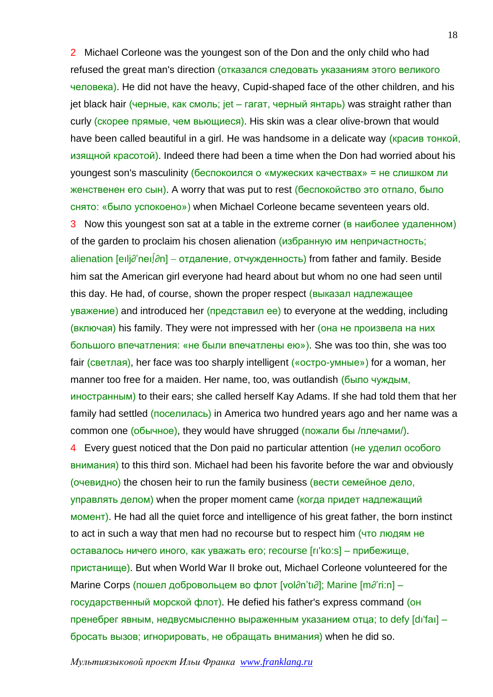2 Michael Corleone was the youngest son of the Don and the only child who had refused the great man's direction (отказался следовать указаниям этого великого человека). He did not have the heavy, Cupid-shaped face of the other children, and his jet black hair (черные, как смоль; jet – гагат, черный янтарь) was straight rather than curly (скорее прямые, чем вьющиеся). His skin was a clear olive-brown that would have been called beautiful in a girl. He was handsome in a delicate way (красив тонкой, изящной красотой). Indeed there had been a time when the Don had worried about his youngest son's masculinity (беспокоился о «мужеских качествах» = не слишком ли женственен его сын). A worry that was put to rest (беспокойство это отпало, было снято: «было успокоено») when Michael Corleone became seventeen years old. 3 Now this youngest son sat at a table in the extreme corner (в наиболее удаленном) of the garden to proclaim his chosen alienation (избранную им непричастность; alienation [eılj∂'neı∫∂n] отдаление, отчужденность) from father and family. Beside him sat the American girl everyone had heard about but whom no one had seen until this day. He had, of course, shown the proper respect (выказал надлежащее уважение) and introduced her (представил ее) to everyone at the wedding, including (включая) his family. They were not impressed with her (она не произвела на них большого впечатления: «не были впечатлены ею»). She was too thin, she was too fair (светлая), her face was too sharply intelligent («остро-умные») for a woman, her manner too free for a maiden. Her name, too, was outlandish (было чуждым, иностранным) to their ears; she called herself Kay Adams. If she had told them that her family had settled (поселилась) in America two hundred years ago and her name was a common one (обычное), they would have shrugged (пожали бы /плечами/). 4 Every guest noticed that the Don paid no particular attention (не уделил особого внимания) to this third son. Michael had been his favorite before the war and obviously (очевидно) the chosen heir to run the family business (вести семейное дело, управлять делом) when the proper moment came (когда придет надлежащий момент). He had all the quiet force and intelligence of his great father, the born instinct to act in such a way that men had no recourse but to respect him (что людям не оставалось ничего иного, как уважать его; recourse [rı'ko:s] – прибежище, пристанище). But when World War II broke out, Michael Corleone volunteered for the Marine Corps (пошел добровольцем во флот [vol∂n'tı∂]; Marine [m∂'ri:n] – государственный морской флот). He defied his father's express command (он пренебрег явным, недвусмысленно выраженным указанием отца; to defy [dı'faı] – бросать вызов; игнорировать, не обращать внимания) when he did so.

*Мультиязыковой проект Ильи Франка www.franklang.ru*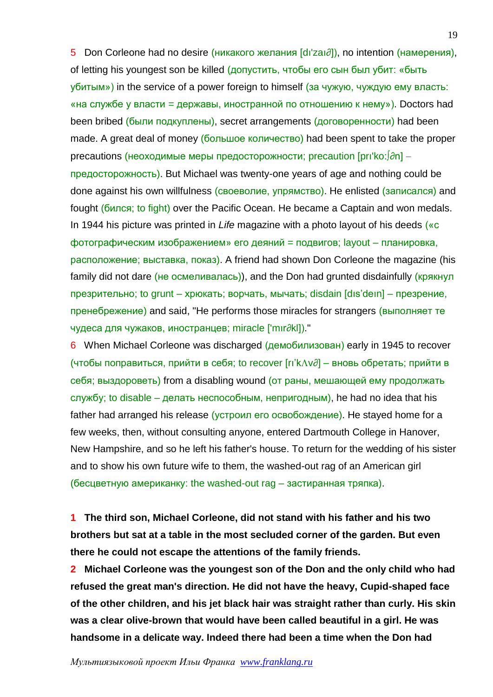5 Don Corleone had no desire (никакого желания [dı'zaı∂]), no intention (намерения), of letting his youngest son be killed (допустить, чтобы его сын был убит: «быть убитым») in the service of a power foreign to himself (за чужую, чуждую ему власть: «на службе у власти = державы, иностранной по отношению к нему»). Doctors had been bribed (были подкуплены), secret arrangements (договоренности) had been made. A great deal of money (большое количество) had been spent to take the proper precautions (неоходимые меры предосторожности; precaution [prı'ko:∫∂n] предосторожность). But Michael was twenty-one years of age and nothing could be done against his own willfulness (своеволие, упрямство). He enlisted (записался) and fought (бился; to fight) over the Pacific Ocean. He became a Captain and won medals. In 1944 his picture was printed in *Life* magazine with a photo layout of his deeds («c фотографическим изображением» его деяний = подвигов; layout - планировка, расположение; выставка, показ). A friend had shown Don Corleone the magazine (his family did not dare (не осмеливалась)), and the Don had grunted disdainfully (крякнул презрительно; to grunt – хрюкать; ворчать, мычать; disdain [dıs'deın] – презрение, пренебрежение) and said, "He performs those miracles for strangers (выполняет те чудеса для чужаков, иностранцев; miracle ['mır∂kl])."

6 When Michael Corleone was discharged (демобилизован) early in 1945 to recover (чтобы поправиться, прийти в себя; to recover [rı'k∧v∂] – вновь обретать; прийти в себя; выздороветь) from a disabling wound (от раны, мешающей ему продолжать службу; to disable – делать неспособным, непригодным), he had no idea that his father had arranged his release (устроил его освобождение). He stayed home for a few weeks, then, without consulting anyone, entered Dartmouth College in Hanover, New Hampshire, and so he left his father's house. To return for the wedding of his sister and to show his own future wife to them, the washed-out rag of an American girl (бесцветную американку: the washed-out rag – застиранная тряпка).

**1 The third son, Michael Corleone, did not stand with his father and his two brothers but sat at a table in the most secluded corner of the garden. But even there he could not escape the attentions of the family friends.**

**2 Michael Corleone was the youngest son of the Don and the only child who had refused the great man's direction. He did not have the heavy, Cupid-shaped face of the other children, and his jet black hair was straight rather than curly. His skin was a clear olive-brown that would have been called beautiful in a girl. He was handsome in a delicate way. Indeed there had been a time when the Don had**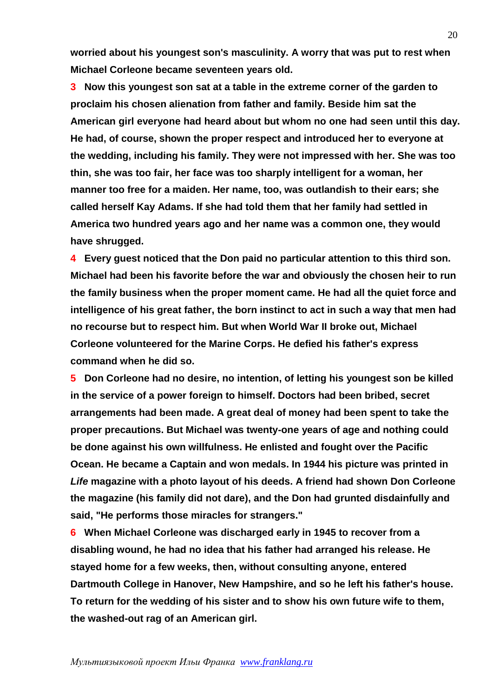**worried about his youngest son's masculinity. A worry that was put to rest when Michael Corleone became seventeen years old.**

**3 Now this youngest son sat at a table in the extreme corner of the garden to proclaim his chosen alienation from father and family. Beside him sat the American girl everyone had heard about but whom no one had seen until this day. He had, of course, shown the proper respect and introduced her to everyone at the wedding, including his family. They were not impressed with her. She was too thin, she was too fair, her face was too sharply intelligent for a woman, her manner too free for a maiden. Her name, too, was outlandish to their ears; she called herself Kay Adams. If she had told them that her family had settled in America two hundred years ago and her name was a common one, they would have shrugged.**

**4 Every guest noticed that the Don paid no particular attention to this third son. Michael had been his favorite before the war and obviously the chosen heir to run the family business when the proper moment came. He had all the quiet force and intelligence of his great father, the born instinct to act in such a way that men had no recourse but to respect him. But when World War II broke out, Michael Corleone volunteered for the Marine Corps. He defied his father's express command when he did so.**

**5 Don Corleone had no desire, no intention, of letting his youngest son be killed in the service of a power foreign to himself. Doctors had been bribed, secret arrangements had been made. A great deal of money had been spent to take the proper precautions. But Michael was twenty-one years of age and nothing could be done against his own willfulness. He enlisted and fought over the Pacific Ocean. He became a Captain and won medals. In 1944 his picture was printed in**  *Life* **magazine with a photo layout of his deeds. A friend had shown Don Corleone the magazine (his family did not dare), and the Don had grunted disdainfully and said, "He performs those miracles for strangers."** 

**6 When Michael Corleone was discharged early in 1945 to recover from a disabling wound, he had no idea that his father had arranged his release. He stayed home for a few weeks, then, without consulting anyone, entered Dartmouth College in Hanover, New Hampshire, and so he left his father's house. To return for the wedding of his sister and to show his own future wife to them, the washed-out rag of an American girl.**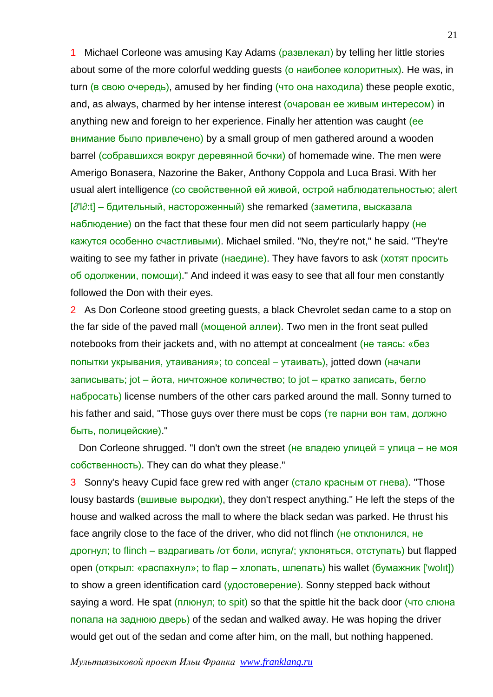1 Michael Corleone was amusing Kay Adams (развлекал) by telling her little stories about some of the more colorful wedding quests (о наиболее колоритных). Не was, in turn (в свою очередь), amused by her finding (что она находила) these people exotic, and, as always, charmed by her intense interest (очарован ее живым интересом) in anything new and foreign to her experience. Finally her attention was caught (ee внимание было привлечено) by a small group of men gathered around a wooden barrel (собравшихся вокруг деревянной бочки) of homemade wine. The men were Amerigo Bonasera, Nazorine the Baker, Anthony Coppola and Luca Brasi. With her usual alert intelligence (со свойственной ей живой, острой наблюдательностью; alert [∂'l∂:t] – бдительный, настороженный) she remarked (заметила, высказала наблюдение) on the fact that these four men did not seem particularly happy (не кажутся особенно счастливыми). Michael smiled. "No, they're not," he said. "They're waiting to see my father in private (наедине). They have favors to ask (хотят просить об одолжении, помощи)." And indeed it was easy to see that all four men constantly followed the Don with their eyes.

2 As Don Corleone stood greeting guests, a black Chevrolet sedan came to a stop on the far side of the paved mall (мощеной аллеи). Two men in the front seat pulled notebooks from their jackets and, with no attempt at concealment (не таясь: «без попытки укрывания, утаивания»; to conceal  $-$  утаивать), jotted down (начали записывать; jot – йота, ничтожное количество; to jot – кратко записать, бегло набросать) license numbers of the other cars parked around the mall. Sonny turned to his father and said, "Those guys over there must be cops (те парни вон там, должно быть, полицейские)."

Don Corleone shrugged. "I don't own the street (не владею улицей = улица – не моя собственность). They can do what they please."

3 Sonny's heavy Cupid face grew red with anger (стало красным от гнева). "Those lousy bastards (вшивые выродки), they don't respect anything." He left the steps of the house and walked across the mall to where the black sedan was parked. He thrust his face angrily close to the face of the driver, who did not flinch (не отклонился, не дрогнул; to flinch – вздрагивать /от боли, испуга/; уклоняться, отступать) but flapped open (открыл: «распахнул»; to flap – хлопать, шлепать) his wallet (бумажник ['wolıt]) to show a green identification card (удостоверение). Sonny stepped back without saying a word. He spat (плюнул; to spit) so that the spittle hit the back door (что слюна попала на заднюю дверь) of the sedan and walked away. He was hoping the driver would get out of the sedan and come after him, on the mall, but nothing happened.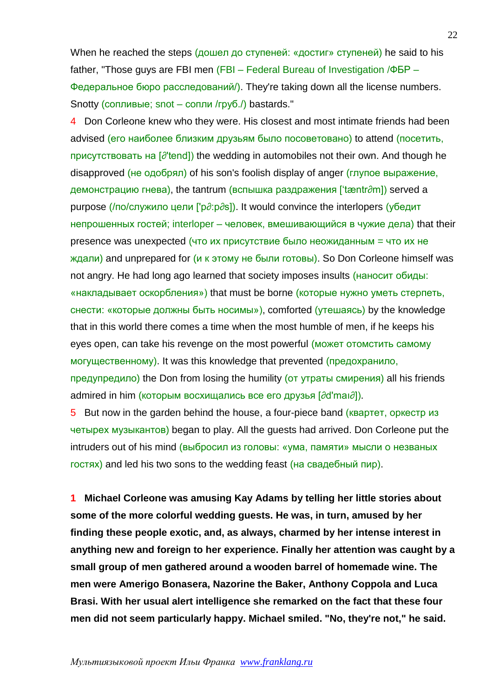When he reached the steps (дошел до ступеней: «достиг» ступеней) he said to his father, "Those guys are FBI men (FBI – Federal Bureau of Investigation /ФБР – Федеральное бюро расследований/). They're taking down all the license numbers. Snotty (сопливые; snot – сопли /груб./) bastards."

4 Don Corleone knew who they were. His closest and most intimate friends had been advised (его наиболее близким друзьям было посоветовано) to attend (посетить, присутствовать на [∂'tend]) the wedding in automobiles not their own. And though he disapproved (не одобрял) of his son's foolish display of anger (глупое выражение, демонстрацию гнева), the tantrum (вспышка раздражения ['tæntr∂m]) served a purpose (/по/служило цели ['p∂:p∂s]). It would convince the interlopers (убедит непрошенных гостей; interloper – человек, вмешивающийся в чужие дела) that their presence was unexpected (что их присутствие было неожиданным = что их не ждали) and unprepared for (и к этому не были готовы). So Don Corleone himself was not angry. He had long ago learned that society imposes insults (наносит обиды: «накладывает оскорбления») that must be borne (которые нужно уметь стерпеть, снести: «которые должны быть носимы»), comforted (утешаясь) by the knowledge that in this world there comes a time when the most humble of men, if he keeps his eyes open, can take his revenge on the most powerful (может отомстить самому могущественному). It was this knowledge that prevented (предохранило, предупредило) the Don from losing the humility (от утраты смирения) all his friends admired in him (которым восхищались все его друзья [∂d'maı∂]).

5 But now in the garden behind the house, a four-piece band (квартет, оркестр из четырех музыкантов) began to play. All the guests had arrived. Don Corleone put the intruders out of his mind (выбросил из головы: «ума, памяти» мысли о незваных гостях) and led his two sons to the wedding feast (на свадебный пир).

**1 Michael Corleone was amusing Kay Adams by telling her little stories about some of the more colorful wedding guests. He was, in turn, amused by her finding these people exotic, and, as always, charmed by her intense interest in anything new and foreign to her experience. Finally her attention was caught by a small group of men gathered around a wooden barrel of homemade wine. The men were Amerigo Bonasera, Nazorine the Baker, Anthony Coppola and Luca Brasi. With her usual alert intelligence she remarked on the fact that these four men did not seem particularly happy. Michael smiled. "No, they're not," he said.**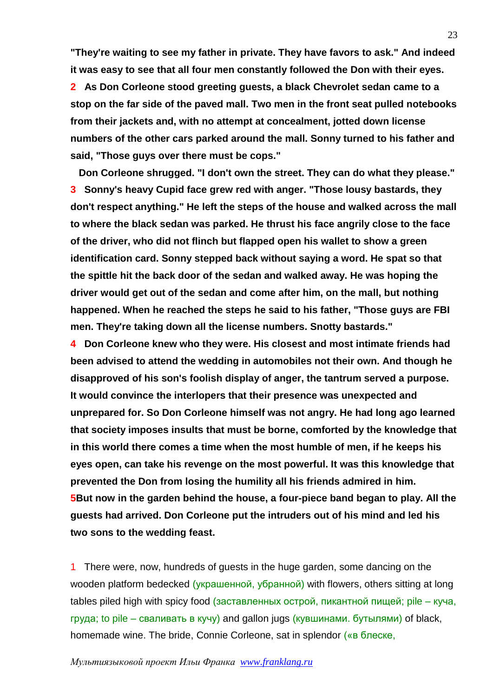**"They're waiting to see my father in private. They have favors to ask." And indeed it was easy to see that all four men constantly followed the Don with their eyes. 2 As Don Corleone stood greeting guests, a black Chevrolet sedan came to a stop on the far side of the paved mall. Two men in the front seat pulled notebooks from their jackets and, with no attempt at concealment, jotted down license numbers of the other cars parked around the mall. Sonny turned to his father and said, "Those guys over there must be cops."** 

 **Don Corleone shrugged. "I don't own the street. They can do what they please." 3 Sonny's heavy Cupid face grew red with anger. "Those lousy bastards, they don't respect anything." He left the steps of the house and walked across the mall to where the black sedan was parked. He thrust his face angrily close to the face of the driver, who did not flinch but flapped open his wallet to show a green identification card. Sonny stepped back without saying a word. He spat so that the spittle hit the back door of the sedan and walked away. He was hoping the driver would get out of the sedan and come after him, on the mall, but nothing happened. When he reached the steps he said to his father, "Those guys are FBI men. They're taking down all the license numbers. Snotty bastards."** 

**4 Don Corleone knew who they were. His closest and most intimate friends had been advised to attend the wedding in automobiles not their own. And though he disapproved of his son's foolish display of anger, the tantrum served a purpose. It would convince the interlopers that their presence was unexpected and unprepared for. So Don Corleone himself was not angry. He had long ago learned that society imposes insults that must be borne, comforted by the knowledge that in this world there comes a time when the most humble of men, if he keeps his eyes open, can take his revenge on the most powerful. It was this knowledge that prevented the Don from losing the humility all his friends admired in him. 5But now in the garden behind the house, a four-piece band began to play. All the guests had arrived. Don Corleone put the intruders out of his mind and led his two sons to the wedding feast.**

1 There were, now, hundreds of guests in the huge garden, some dancing on the wooden platform bedecked (украшенной, убранной) with flowers, others sitting at long tables piled high with spicy food (заставленных острой, пикантной пищей; pile – куча, груда; to pile – сваливать в кучу) and gallon jugs (кувшинами. бутылями) of black, homemade wine. The bride, Connie Corleone, sat in splendor («в блеске,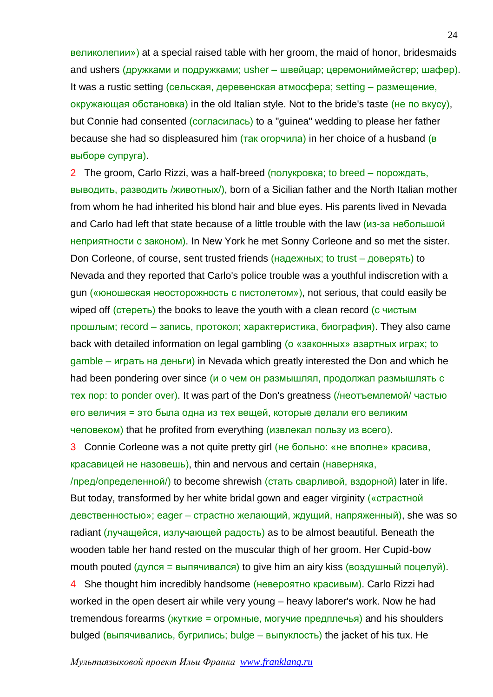великолепии») at a special raised table with her groom, the maid of honor, bridesmaids and ushers (дружками и подружками; usher – швейцар; церемониймейстер; шафер). It was a rustic setting (сельская, деревенская атмосфера; setting – размещение, окружающая обстановка) in the old Italian style. Not to the bride's taste (не по вкусу), but Connie had consented (согласилась) to a "guinea" wedding to please her father because she had so displeasured him (так огорчила) in her choice of a husband (в выборе супруга).

2 The groom, Carlo Rizzi, was a half-breed  $(n_{0}N_{0})$ кровка; to breed – порождать, выводить, разводить /животных/), born of a Sicilian father and the North Italian mother from whom he had inherited his blond hair and blue eyes. His parents lived in Nevada and Carlo had left that state because of a little trouble with the law (из-за небольшой неприятности с законом). In New York he met Sonny Corleone and so met the sister. Don Corleone, of course, sent trusted friends (надежных; to trust – доверять) to Nevada and they reported that Carlo's police trouble was a youthful indiscretion with a gun («юношеская неосторожность с пистолетом»), not serious, that could easily be wiped off (стереть) the books to leave the youth with a clean record (с чистым прошлым; record – запись, протокол; характеристика, биография). They also came back with detailed information on legal gambling (о «законных» азартных играх; to gamble – играть на деньги) in Nevada which greatly interested the Don and which he had been pondering over since (и о чем он размышлял, продолжал размышлять с тех пор: to ponder over). It was part of the Don's greatness (/неотъемлемой/ частью его величия = это была одна из тех вещей, которые делали его великим человеком) that he profited from everything (извлекал пользу из всего).

3 Connie Corleone was a not quite pretty girl (не больно: «не вполне» красива, красавицей не назовешь), thin and nervous and certain (наверняка, /пред/определенной/) to become shrewish (стать сварливой, вздорной) later in life. But today, transformed by her white bridal gown and eager virginity («страстной девственностью»; eager – страстно желающий, ждущий, напряженный), she was so radiant (лучащейся, излучающей радость) as to be almost beautiful. Beneath the wooden table her hand rested on the muscular thigh of her groom. Her Cupid-bow mouth pouted  $(A)$ улся = выпячивался) to give him an airy kiss (воздушный поцелуй). 4 She thought him incredibly handsome (невероятно красивым). Carlo Rizzi had worked in the open desert air while very young – heavy laborer's work. Now he had tremendous forearms (жуткие = огромные, могучие предплечья) and his shoulders bulged (выпячивались, бугрились; bulge – выпуклость) the jacket of his tux. He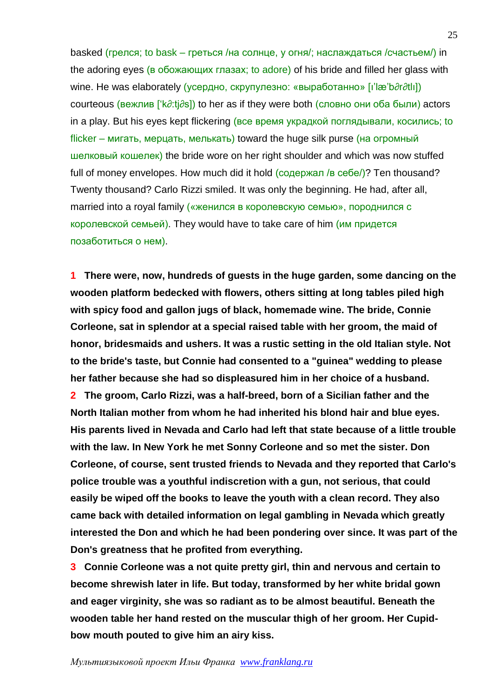basked (грелся; to bask – греться /на солнце, у огня/; наслаждаться /счастьем/) in the adoring eyes (в обожающих глазах; to adore) of his bride and filled her glass with wine. He was elaborately (усердно, скрупулезно: «выработанно» [i'læ'b∂r∂tlı]) courteous (вежлив ['k∂:tj∂s]) to her as if they were both (словно они оба были) actors in a play. But his eyes kept flickering (все время украдкой поглядывали, косились; to flicker – мигать, мерцать, мелькать) toward the huge silk purse (на огромный шелковый кошелек) the bride wore on her right shoulder and which was now stuffed full of money envelopes. How much did it hold (содержал /в себе/)? Ten thousand? Twenty thousand? Carlo Rizzi smiled. It was only the beginning. He had, after all, married into a royal family («женился в королевскую семью», породнился с королевской семьей). They would have to take care of him (им придется позаботиться о нем).

**1 There were, now, hundreds of guests in the huge garden, some dancing on the wooden platform bedecked with flowers, others sitting at long tables piled high with spicy food and gallon jugs of black, homemade wine. The bride, Connie Corleone, sat in splendor at a special raised table with her groom, the maid of honor, bridesmaids and ushers. It was a rustic setting in the old Italian style. Not to the bride's taste, but Connie had consented to a "guinea" wedding to please her father because she had so displeasured him in her choice of a husband. 2 The groom, Carlo Rizzi, was a half-breed, born of a Sicilian father and the North Italian mother from whom he had inherited his blond hair and blue eyes. His parents lived in Nevada and Carlo had left that state because of a little trouble with the law. In New York he met Sonny Corleone and so met the sister. Don Corleone, of course, sent trusted friends to Nevada and they reported that Carlo's police trouble was a youthful indiscretion with a gun, not serious, that could easily be wiped off the books to leave the youth with a clean record. They also came back with detailed information on legal gambling in Nevada which greatly interested the Don and which he had been pondering over since. It was part of the Don's greatness that he profited from everything.**

**3 Connie Corleone was a not quite pretty girl, thin and nervous and certain to become shrewish later in life. But today, transformed by her white bridal gown and eager virginity, she was so radiant as to be almost beautiful. Beneath the wooden table her hand rested on the muscular thigh of her groom. Her Cupidbow mouth pouted to give him an airy kiss.**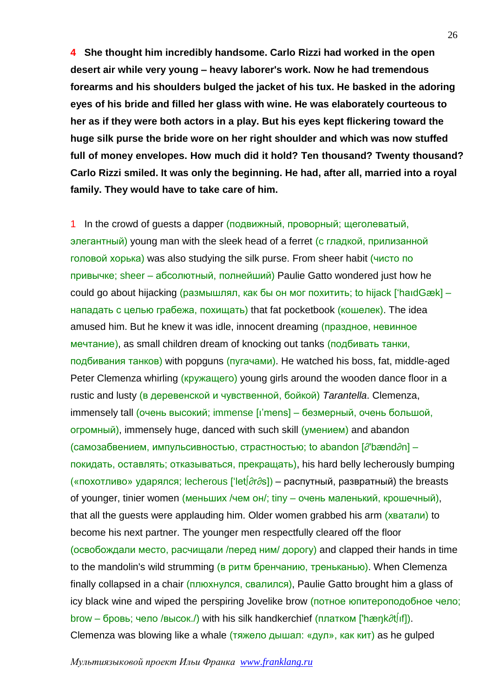**4 She thought him incredibly handsome. Carlo Rizzi had worked in the open desert air while very young – heavy laborer's work. Now he had tremendous forearms and his shoulders bulged the jacket of his tux. He basked in the adoring eyes of his bride and filled her glass with wine. He was elaborately courteous to her as if they were both actors in a play. But his eyes kept flickering toward the huge silk purse the bride wore on her right shoulder and which was now stuffed full of money envelopes. How much did it hold? Ten thousand? Twenty thousand? Carlo Rizzi smiled. It was only the beginning. He had, after all, married into a royal family. They would have to take care of him.**

1 In the crowd of guests a dapper (подвижный, проворный; щеголеватый, элегантный) young man with the sleek head of a ferret (с гладкой, прилизанной головой хорька) was also studying the silk purse. From sheer habit (чисто по привычке; sheer – абсолютный, полнейший) Paulie Gatto wondered just how he could go about hijacking (размышлял, как бы он мог похитить; to hijack ['haıdGæk] – нападать с целью грабежа, похищать) that fat pocketbook (кошелек). The idea amused him. But he knew it was idle, innocent dreaming (праздное, невинное мечтание), as small children dream of knocking out tanks (подбивать танки, подбивания танков) with popguns (пугачами). He watched his boss, fat, middle-aged Peter Clemenza whirling (кружащего) young girls around the wooden dance floor in a rustic and lusty (в деревенской и чувственной, бойкой) *Tarantella*. Clemenza, immensely tall (очень высокий; immense [ı'mens] – безмерный, очень большой, огромный), immensely huge, danced with such skill (умением) and abandon (самозабвением, импульсивностью, страстностью; to abandon [∂'bænd∂n] – покидать, оставлять; отказываться, прекращать), his hard belly lecherously bumping («похотливо» ударялся; lecherous ['let∫∂r∂s]) – распутный, развратный) the breasts of younger, tinier women (меньших /чем он/; tiny – очень маленький, крошечный), that all the guests were applauding him. Older women grabbed his arm (хватали) to become his next partner. The younger men respectfully cleared off the floor (освобождали место, расчищали /перед ним/ дорогу) and clapped their hands in time to the mandolin's wild strumming (в ритм бренчанию, треньканью). When Clemenza finally collapsed in a chair (плюхнулся, свалился), Paulie Gatto brought him a glass of icy black wine and wiped the perspiring Jovelike brow (потное юпитероподобное чело; brow – бровь; чело /высок./) with his silk handkerchief (платком ['hæŋk∂t∫ıf]). Clemenza was blowing like a whale (тяжело дышал: «дул», как кит) as he gulped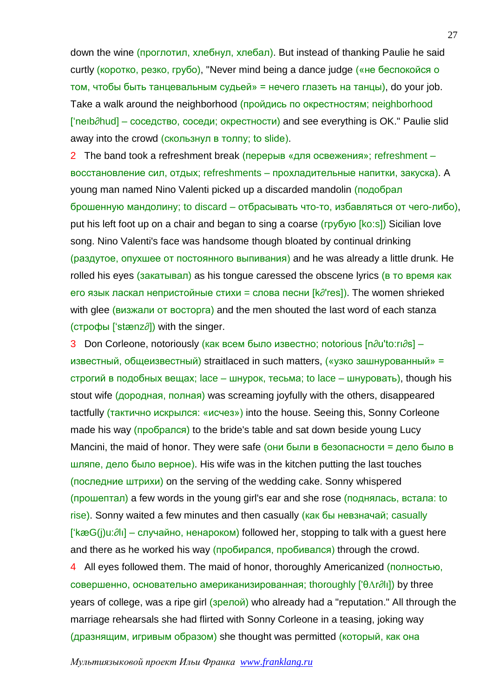down the wine (проглотил, хлебнул, хлебал). But instead of thanking Paulie he said curtly (коротко, резко, грубо), "Never mind being a dance judge («не беспокойся о том, чтобы быть танцевальным судьей» = нечего глазеть на танцы), do your job. Take a walk around the neighborhood (пройдись по окрестностям; neighborhood ['neıb∂hud] – соседство, соседи; окрестности) and see everything is OK." Paulie slid away into the crowd (скользнул в толпу; to slide).

2 The band took a refreshment break (перерыв «для освежения»; refreshment – восстановление сил, отдых; refreshments – прохладительные напитки, закуска). A young man named Nino Valenti picked up a discarded mandolin (подобрал брошенную мандолину; to discard – отбрасывать что-то, избавляться от чего-либо), put his left foot up on a chair and began to sing a coarse (грубую [ko:s]) Sicilian love song. Nino Valenti's face was handsome though bloated by continual drinking (раздутое, опухшее от постоянного выпивания) and he was already a little drunk. He rolled his eyes (закатывал) as his tongue caressed the obscene lyrics (в то время как его язык ласкал непристойные стихи = слова песни  $[k\partial'res]$ ). The women shrieked with glee (визжали от восторга) and the men shouted the last word of each stanza (строфы ['stænz∂]) with the singer.

3 Don Corleone, notoriously (как всем было известно; notorious [n∂u'to:rı∂s] – известный, общеизвестный) straitlaced in such matters, («узко зашнурованный» = строгий в подобных вещах; lace – шнурок, тесьма; to lace – шнуровать), though his stout wife (дородная, полная) was screaming joyfully with the others, disappeared tactfully (тактично искрылся: «исчез») into the house. Seeing this, Sonny Corleone made his way (пробрался) to the bride's table and sat down beside young Lucy Mancini, the maid of honor. They were safe (они были в безопасности = дело было в шляпе, дело было верное). His wife was in the kitchen putting the last touches (последние штрихи) on the serving of the wedding cake. Sonny whispered (прошептал) a few words in the young girl's ear and she rose (поднялась, встала: to rise). Sonny waited a few minutes and then casually (как бы невзначай; casually ['kæG(j)u:∂lı] – случайно, ненароком) followed her, stopping to talk with a guest here and there as he worked his way (пробирался, пробивался) through the crowd. 4 All eyes followed them. The maid of honor, thoroughly Americanized (полностью, совершенно, основательно американизированная; thoroughly ['θ∧r∂lı]) by three years of college, was a ripe girl (зрелой) who already had a "reputation." All through the marriage rehearsals she had flirted with Sonny Corleone in a teasing, joking way (дразнящим, игривым образом) she thought was permitted (который, как она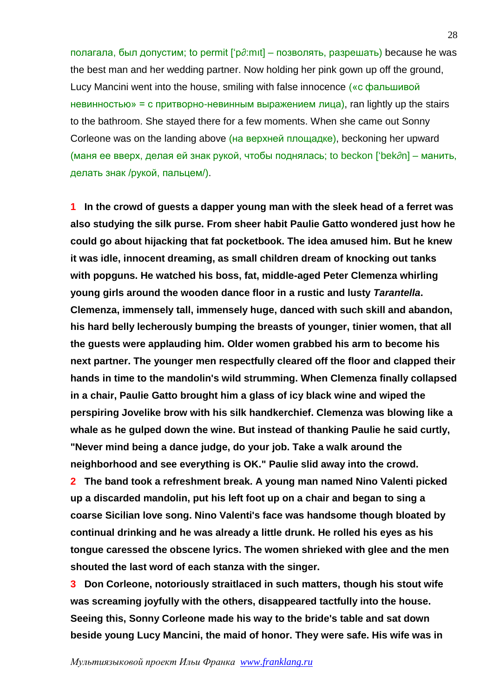полагала, был допустим; to permit ['p∂:mıt] – позволять, разрешать) because he was the best man and her wedding partner. Now holding her pink gown up off the ground, Lucy Mancini went into the house, smiling with false innocence («с фальшивой невинностью» = с притворно-невинным выражением лица), ran lightly up the stairs to the bathroom. She stayed there for a few moments. When she came out Sonny Corleone was on the landing above (на верхней площадке), beckoning her upward (маня ее вверх, делая ей знак рукой, чтобы поднялась; to beckon ['bek∂n] – манить, делать знак /рукой, пальцем/).

**1 In the crowd of guests a dapper young man with the sleek head of a ferret was also studying the silk purse. From sheer habit Paulie Gatto wondered just how he could go about hijacking that fat pocketbook. The idea amused him. But he knew it was idle, innocent dreaming, as small children dream of knocking out tanks with popguns. He watched his boss, fat, middle-aged Peter Clemenza whirling young girls around the wooden dance floor in a rustic and lusty** *Tarantella***. Clemenza, immensely tall, immensely huge, danced with such skill and abandon, his hard belly lecherously bumping the breasts of younger, tinier women, that all the guests were applauding him. Older women grabbed his arm to become his next partner. The younger men respectfully cleared off the floor and clapped their hands in time to the mandolin's wild strumming. When Clemenza finally collapsed in a chair, Paulie Gatto brought him a glass of icy black wine and wiped the perspiring Jovelike brow with his silk handkerchief. Clemenza was blowing like a whale as he gulped down the wine. But instead of thanking Paulie he said curtly, "Never mind being a dance judge, do your job. Take a walk around the neighborhood and see everything is OK." Paulie slid away into the crowd.**

**2 The band took a refreshment break. A young man named Nino Valenti picked up a discarded mandolin, put his left foot up on a chair and began to sing a coarse Sicilian love song. Nino Valenti's face was handsome though bloated by continual drinking and he was already a little drunk. He rolled his eyes as his tongue caressed the obscene lyrics. The women shrieked with glee and the men shouted the last word of each stanza with the singer.** 

**3 Don Corleone, notoriously straitlaced in such matters, though his stout wife was screaming joyfully with the others, disappeared tactfully into the house. Seeing this, Sonny Corleone made his way to the bride's table and sat down beside young Lucy Mancini, the maid of honor. They were safe. His wife was in**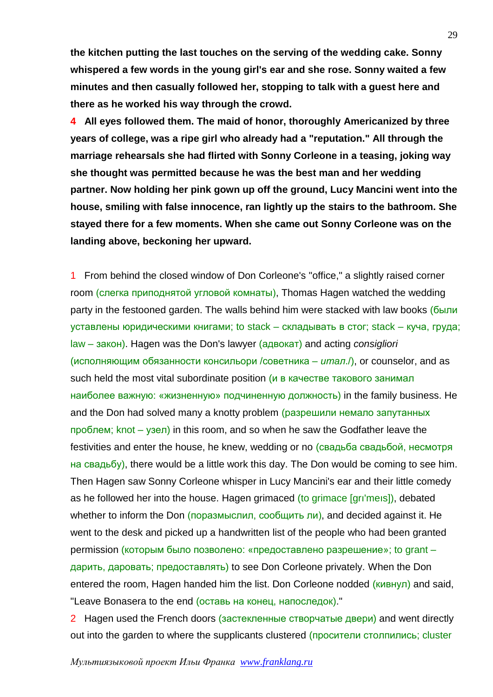**the kitchen putting the last touches on the serving of the wedding cake. Sonny whispered a few words in the young girl's ear and she rose. Sonny waited a few minutes and then casually followed her, stopping to talk with a guest here and there as he worked his way through the crowd.**

**4 All eyes followed them. The maid of honor, thoroughly Americanized by three years of college, was a ripe girl who already had a "reputation." All through the marriage rehearsals she had flirted with Sonny Corleone in a teasing, joking way she thought was permitted because he was the best man and her wedding partner. Now holding her pink gown up off the ground, Lucy Mancini went into the house, smiling with false innocence, ran lightly up the stairs to the bathroom. She stayed there for a few moments. When she came out Sonny Corleone was on the landing above, beckoning her upward.**

1 From behind the closed window of Don Corleone's "office," a slightly raised corner room (cлегка приподнятой угловой комнаты), Thomas Hagen watched the wedding party in the festooned garden. The walls behind him were stacked with law books (были уставлены юридическими книгами; to stack – складывать в стог; stack – куча, груда; law – закон). Hagen was the Don's lawyer (адвокат) and acting *consigliori*  (исполняющим обязанности консильори /советника – *итал*./), or counselor, and as such held the most vital subordinate position (и в качестве такового занимал наиболее важную: «жизненную» подчиненную должность) in the family business. He and the Don had solved many a knotty problem (разрешили немало запутанных проблем; knot – узел) in this room, and so when he saw the Godfather leave the festivities and enter the house, he knew, wedding or no (свадьба свадьбой, несмотря на свадьбу), there would be a little work this day. The Don would be coming to see him. Then Hagen saw Sonny Corleone whisper in Lucy Mancini's ear and their little comedy as he followed her into the house. Hagen grimaced (to grimace [gringlers]), debated whether to inform the Don (поразмыслил, сообщить ли), and decided against it. Не went to the desk and picked up a handwritten list of the people who had been granted permission (которым было позволено: «предоставлено разрешение»; to grant – дарить, даровать; предоставлять) to see Don Corleone privately. When the Don entered the room, Hagen handed him the list. Don Corleone nodded (кивнул) and said, "Leave Bonasera to the end (оставь на конец, напоследок)."

2 Hagen used the French doors (застекленные створчатые двери) and went directly out into the garden to where the supplicants clustered (просители столпились; cluster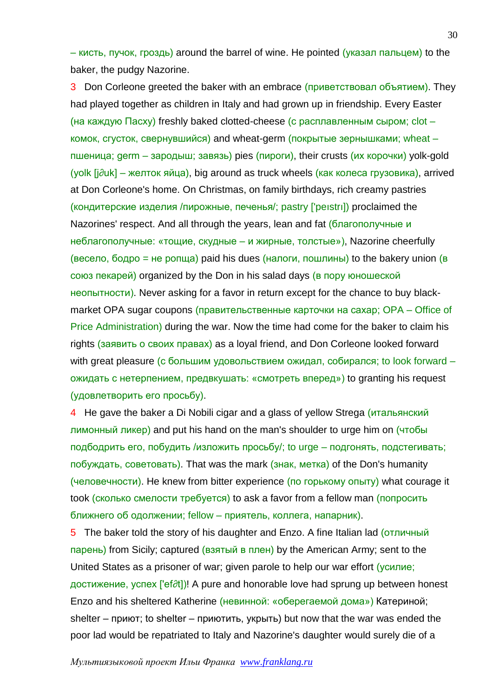– кисть, пучок, гроздь) around the barrel of wine. He pointed (указал пальцем) to the baker, the pudgy Nazorine.

3 Don Corleone greeted the baker with an embrace (приветствовал объятием). They had played together as children in Italy and had grown up in friendship. Every Easter (на каждую Пасху) freshly baked clotted-cheese (с расплавленным сыром; clot – комок, сгусток, свернувшийся) and wheat-germ (покрытые зернышками; wheat – пшеница; germ – зародыш; завязь) pies (пироги), their crusts (их корочки) yolk-gold (yolk [j∂uk] – желток яйца), big around as truck wheels (как колеса грузовика), arrived at Don Corleone's home. On Christmas, on family birthdays, rich creamy pastries (кондитерские изделия /пирожные, печенья/; pastry ['peıstrı]) proclaimed the Nazorines' respect. And all through the years, lean and fat (благополучные и неблагополучные: «тощие, скудные – и жирные, толстые»), Nazorine cheerfully (весело, бодро = не ропща) paid his dues (налоги, пошлины) to the bakery union (в союз пекарей) organized by the Don in his salad days (в пору юношеской неопытности). Never asking for a favor in return except for the chance to buy blackmarket OPA sugar coupons (правительственные карточки на сахар; OPA – Office of Price Administration) during the war. Now the time had come for the baker to claim his rights (заявить о своих правах) as a loyal friend, and Don Corleone looked forward with great pleasure (с большим удовольствием ожидал, собирался; to look forward – ожидать с нетерпением, предвкушать: «смотреть вперед») to granting his request (удовлетворить его просьбу).

4 He gave the baker a Di Nobili cigar and a glass of vellow Strega (итальянский лимонный ликер) and put his hand on the man's shoulder to urge him on (чтобы подбодрить его, побудить /изложить просьбу/; to urge – подгонять, подстегивать; побуждать, советовать). That was the mark (знак, метка) of the Don's humanity (человечности). He knew from bitter experience (по горькому опыту) what courage it took (сколько смелости требуется) to ask a favor from a fellow man (попросить ближнего об одолжении; fellow – приятель, коллега, напарник).

5 The baker told the story of his daughter and Enzo. A fine Italian lad (отличный парень) from Sicily; captured (взятый в плен) by the American Army; sent to the United States as a prisoner of war; given parole to help our war effort (усилие; достижение, успех ['ef∂t])! A pure and honorable love had sprung up between honest Enzo and his sheltered Katherine (невинной: «оберегаемой дома») Катериной; shelter – приют; to shelter – приютить, укрыть) but now that the war was ended the poor lad would be repatriated to Italy and Nazorine's daughter would surely die of a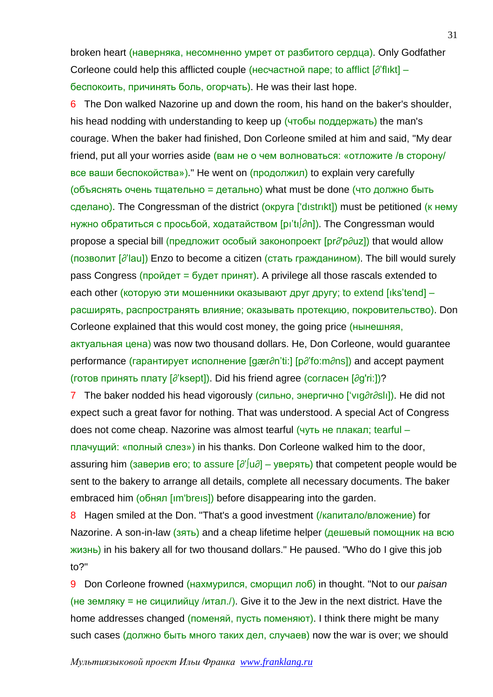broken heart (наверняка, несомненно умрет от разбитого сердца). Only Godfather Corleone could help this afflicted couple (несчастной паре; to afflict [∂'flıkt] – беспокоить, причинять боль, огорчать). He was their last hope.

6 The Don walked Nazorine up and down the room, his hand on the baker's shoulder, his head nodding with understanding to keep up (чтобы поддержать) the man's courage. When the baker had finished, Don Corleone smiled at him and said, "My dear friend, put all your worries aside (вам не о чем волноваться: «отложите /в сторону/ все ваши беспокойства»)." He went on (продолжил) to explain very carefully (объяснять очень тщательно = детально) what must be done (что должно быть сделано). The Congressman of the district (округа ['dıstrıkt]) must be petitioned (к нему нужно обратиться с просьбой, ходатайством [pı'tı∫∂n]). The Congressman would propose a special bill (предложит особый законопроект [pr∂'p∂uz]) that would allow (позволит [∂'lau]) Enzo to become a citizen (стать гражданином). The bill would surely  $pass Congress (npo*u*)<sub>0</sub> = 6*y*qer *npuhst*. A *privilege all those rascals extended to*$ each other (которую эти мошенники оказывают друг другу; to extend [iks'tend] – расширять, распространять влияние; оказывать протекцию, покровительство). Don Corleone explained that this would cost money, the going price (нынешняя, актуальная цена) was now two thousand dollars. He, Don Corleone, would guarantee performance (гарантирует исполнение [gær∂n'ti:] [p∂'fo:m∂ns]) and accept payment (готов принять плату [∂'ksept]). Did his friend agree (согласен [∂g'ri:])?

7 The baker nodded his head vigorously (сильно, энергично ['vıg∂r∂slı]). He did not expect such a great favor for nothing. That was understood. A special Act of Congress does not come cheap. Nazorine was almost tearful (чуть не плакал; tearful – плачущий: «полный слез») in his thanks. Don Corleone walked him to the door, assuring him (заверив его; to assure  $\left[\partial f\right](u\partial f) - \theta$  / web at a competent people would be sent to the bakery to arrange all details, complete all necessary documents. The baker embraced him (обнял [im'breis]) before disappearing into the garden.

8 Hagen smiled at the Don. "That's a good investment (/капитало/вложение) for Nazorine. A son-in-law (3ять) and a cheap lifetime helper (дешевый помощник на всю жизнь) in his bakery all for two thousand dollars." He paused. "Who do I give this job to?"

9 Don Corleone frowned (нахмурился, сморщил лоб) in thought. "Not to our *paisan*  (не земляку = не сицилийцу /итал./). Give it to the Jew in the next district. Have the home addresses changed (поменяй, пусть поменяют). I think there might be many such cases (должно быть много таких дел, случаев) now the war is over; we should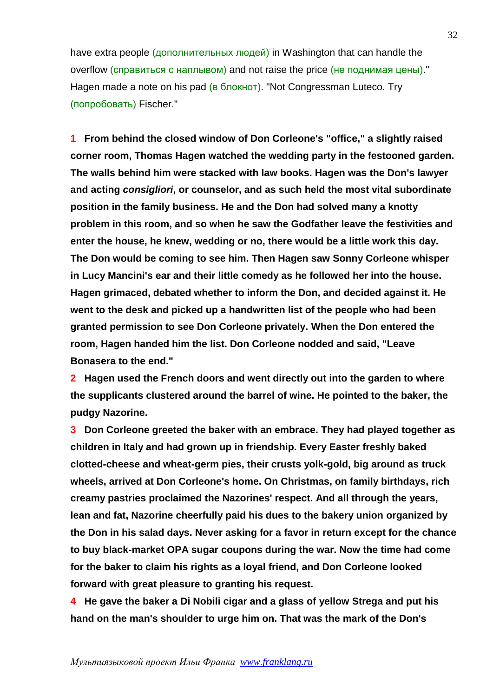have extra people (дополнительных людей) in Washington that can handle the overflow (справиться с наплывом) and not raise the price (не поднимая цены)." Hagen made a note on his pad (в блокнот). "Not Congressman Luteco. Try (попробовать) Fischer."

**1 From behind the closed window of Don Corleone's "office," a slightly raised corner room, Thomas Hagen watched the wedding party in the festooned garden. The walls behind him were stacked with law books. Hagen was the Don's lawyer and acting** *consigliori***, or counselor, and as such held the most vital subordinate position in the family business. He and the Don had solved many a knotty problem in this room, and so when he saw the Godfather leave the festivities and enter the house, he knew, wedding or no, there would be a little work this day. The Don would be coming to see him. Then Hagen saw Sonny Corleone whisper in Lucy Mancini's ear and their little comedy as he followed her into the house. Hagen grimaced, debated whether to inform the Don, and decided against it. He went to the desk and picked up a handwritten list of the people who had been granted permission to see Don Corleone privately. When the Don entered the room, Hagen handed him the list. Don Corleone nodded and said, "Leave Bonasera to the end."**

**2 Hagen used the French doors and went directly out into the garden to where the supplicants clustered around the barrel of wine. He pointed to the baker, the pudgy Nazorine.**

**3 Don Corleone greeted the baker with an embrace. They had played together as children in Italy and had grown up in friendship. Every Easter freshly baked clotted-cheese and wheat-germ pies, their crusts yolk-gold, big around as truck wheels, arrived at Don Corleone's home. On Christmas, on family birthdays, rich creamy pastries proclaimed the Nazorines' respect. And all through the years, lean and fat, Nazorine cheerfully paid his dues to the bakery union organized by the Don in his salad days. Never asking for a favor in return except for the chance to buy black-market OPA sugar coupons during the war. Now the time had come for the baker to claim his rights as a loyal friend, and Don Corleone looked forward with great pleasure to granting his request.**

**4 He gave the baker a Di Nobili cigar and a glass of yellow Strega and put his hand on the man's shoulder to urge him on. That was the mark of the Don's**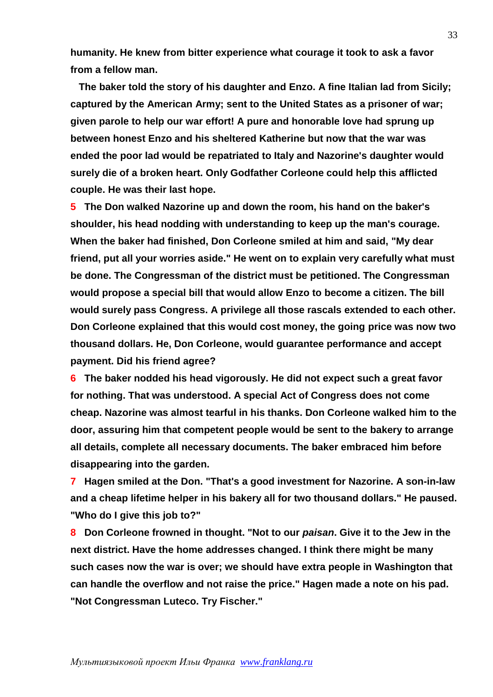**humanity. He knew from bitter experience what courage it took to ask a favor from a fellow man.**

 **The baker told the story of his daughter and Enzo. A fine Italian lad from Sicily; captured by the American Army; sent to the United States as a prisoner of war; given parole to help our war effort! A pure and honorable love had sprung up between honest Enzo and his sheltered Katherine but now that the war was ended the poor lad would be repatriated to Italy and Nazorine's daughter would surely die of a broken heart. Only Godfather Corleone could help this afflicted couple. He was their last hope.**

**5 The Don walked Nazorine up and down the room, his hand on the baker's shoulder, his head nodding with understanding to keep up the man's courage. When the baker had finished, Don Corleone smiled at him and said, "My dear friend, put all your worries aside." He went on to explain very carefully what must be done. The Congressman of the district must be petitioned. The Congressman would propose a special bill that would allow Enzo to become a citizen. The bill would surely pass Congress. A privilege all those rascals extended to each other. Don Corleone explained that this would cost money, the going price was now two thousand dollars. He, Don Corleone, would guarantee performance and accept payment. Did his friend agree?**

**6 The baker nodded his head vigorously. He did not expect such a great favor for nothing. That was understood. A special Act of Congress does not come cheap. Nazorine was almost tearful in his thanks. Don Corleone walked him to the door, assuring him that competent people would be sent to the bakery to arrange all details, complete all necessary documents. The baker embraced him before disappearing into the garden.**

**7 Hagen smiled at the Don. "That's a good investment for Nazorine. A son-in-law and a cheap lifetime helper in his bakery all for two thousand dollars." He paused. "Who do I give this job to?"**

**8 Don Corleone frowned in thought. "Not to our** *paisan***. Give it to the Jew in the next district. Have the home addresses changed. I think there might be many such cases now the war is over; we should have extra people in Washington that can handle the overflow and not raise the price." Hagen made a note on his pad. "Not Congressman Luteco. Try Fischer."**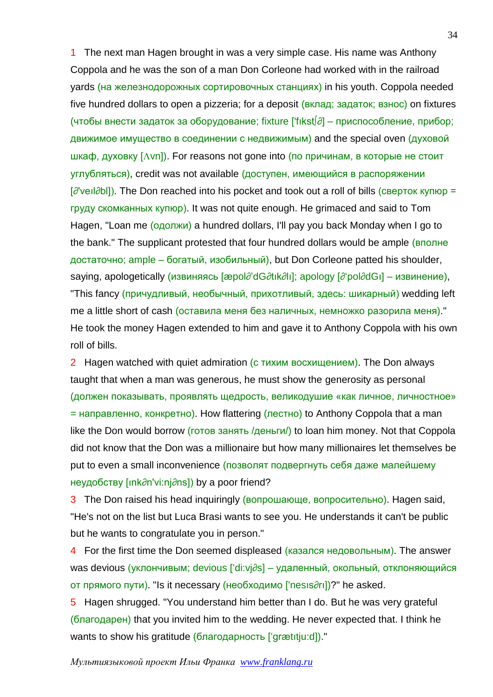1 The next man Hagen brought in was a very simple case. His name was Anthony Coppola and he was the son of a man Don Corleone had worked with in the railroad yards (на железнодорожных сортировочных станциях) in his youth. Coppola needed five hundred dollars to open a pizzeria; for a deposit (вклад; задаток; взнос) on fixtures (чтобы внести задаток за оборудование; fixture ['fıkst∫∂] – приспособление, прибор; движимое имущество в соединении с недвижимым) and the special oven (духовой шкаф, духовку  $[\Delta v n]$ ). For reasons not gone into (по причинам, в которые не стоит углубляться), credit was not available (доступен, имеющийся в распоряжении [∂'veıl∂bl]). The Don reached into his pocket and took out a roll of bills (сверток купюр = груду скомканных купюр). It was not quite enough. He grimaced and said to Tom Hagen, "Loan me (одолжи) a hundred dollars, I'll pay you back Monday when I go to the bank." The supplicant protested that four hundred dollars would be ample (вполне достаточно; ample – богатый, изобильный), but Don Corleone patted his shoulder, saying, apologetically (извиняясь [æpol∂'dG∂tık∂lı]; apology [∂'pol∂dGı] – извинение), "This fancy (причудливый, необычный, прихотливый, здесь: шикарный) wedding left me a little short of cash (оставила меня без наличных, немножко разорила меня)." He took the money Hagen extended to him and gave it to Anthony Coppola with his own roll of bills.

2 Hagen watched with quiet admiration (с тихим восхищением). The Don always taught that when a man was generous, he must show the generosity as personal (должен показывать, проявлять щедрость, великодушие «как личное, личностное»  $=$  направленно, конкретно). How flattering (лестно) to Anthony Coppola that a man like the Don would borrow (готов занять /деньги/) to loan him money. Not that Coppola did not know that the Don was a millionaire but how many millionaires let themselves be put to even a small inconvenience (позволят подвергнуть себя даже малейшему неудобству [ınk∂n'vi:nj∂ns]) by a poor friend?

3 The Don raised his head inquiringly (вопрошающе, вопросительно). Hagen said, "He's not on the list but Luca Brasi wants to see you. He understands it can't be public but he wants to congratulate you in person."

4 For the first time the Don seemed displeased (казался недовольным). The answer was devious (уклончивым; devious ['di:vj∂s] – удаленный, окольный, отклоняющийся от прямого пути). "Is it necessary (необходимо ['nesıs∂rı])?" he asked.

5 Hagen shrugged. "You understand him better than I do. But he was very grateful (благодарен) that you invited him to the wedding. He never expected that. I think he wants to show his gratitude (благодарность ['grætıtju:d])."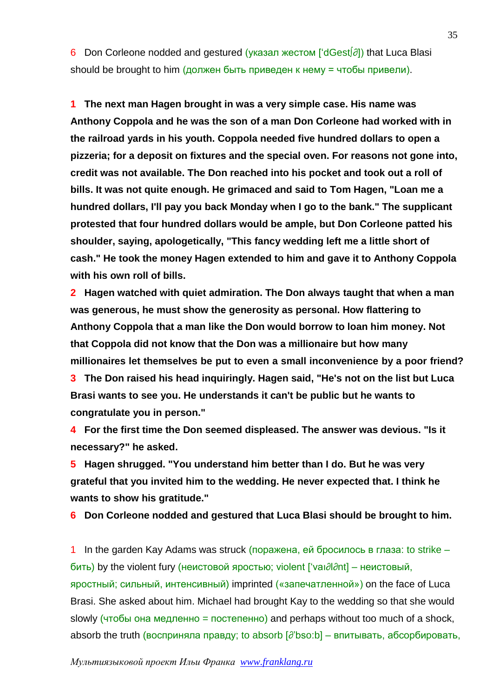6 Don Corleone nodded and gestured (указал жестом ['dGest∫∂]) that Luca Blasi should be brought to him (должен быть приведен к нему = чтобы привели).

**1 The next man Hagen brought in was a very simple case. His name was Anthony Coppola and he was the son of a man Don Corleone had worked with in the railroad yards in his youth. Coppola needed five hundred dollars to open a pizzeria; for a deposit on fixtures and the special oven. For reasons not gone into, credit was not available. The Don reached into his pocket and took out a roll of bills. It was not quite enough. He grimaced and said to Tom Hagen, "Loan me a hundred dollars, I'll pay you back Monday when I go to the bank." The supplicant protested that four hundred dollars would be ample, but Don Corleone patted his shoulder, saying, apologetically, "This fancy wedding left me a little short of cash." He took the money Hagen extended to him and gave it to Anthony Coppola with his own roll of bills.**

**2 Hagen watched with quiet admiration. The Don always taught that when a man was generous, he must show the generosity as personal. How flattering to Anthony Coppola that a man like the Don would borrow to loan him money. Not that Coppola did not know that the Don was a millionaire but how many millionaires let themselves be put to even a small inconvenience by a poor friend? 3 The Don raised his head inquiringly. Hagen said, "He's not on the list but Luca Brasi wants to see you. He understands it can't be public but he wants to congratulate you in person."**

**4 For the first time the Don seemed displeased. The answer was devious. "Is it necessary?" he asked.**

**5 Hagen shrugged. "You understand him better than I do. But he was very grateful that you invited him to the wedding. He never expected that. I think he wants to show his gratitude."**

**6 Don Corleone nodded and gestured that Luca Blasi should be brought to him.** 

1 In the garden Kay Adams was struck (поражена, ей бросилось в глаза: to strike – бить) by the violent fury (неистовой яростью; violent ['vaı∂l∂nt] – неистовый, яростный; сильный, интенсивный) imprinted («запечатленной») on the face of Luca Brasi. She asked about him. Michael had brought Kay to the wedding so that she would slowly (чтобы она медленно = постепенно) and perhaps without too much of a shock, absorb the truth (восприняла правду; to absorb  $\left[\partial'$ bso:b] – впитывать, абсорбировать,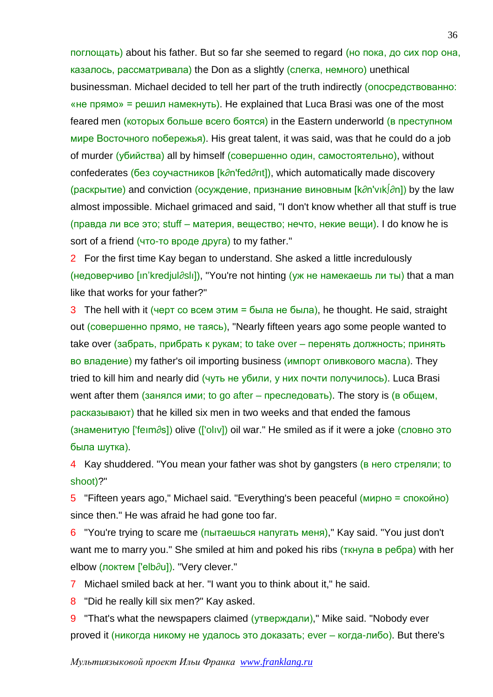поглощать) about his father. But so far she seemed to regard (но пока, до сих пор она, казалось, рассматривала) the Don as a slightly (слегка, немного) unethical businessman. Michael decided to tell her part of the truth indirectly (опосредствованно: «не прямо» = решил намекнуть). He explained that Luca Brasi was one of the most feared men (которых больше всего боятся) in the Eastern underworld (в преступном мире Восточного побережья). His great talent, it was said, was that he could do a job of murder (убийства) all by himself (совершенно один, самостоятельно), without confederates (без соучастников [k∂n'fed∂rıt]), which automatically made discovery (раскрытие) and conviction (осуждение, признание виновным [k∂n'vık∫∂n]) by the law almost impossible. Michael grimaced and said, "I don't know whether all that stuff is true (правда ли все это; stuff – материя, вещество; нечто, некие вещи). I do know he is sort of a friend (что-то вроде друга) to my father."

2 For the first time Kay began to understand. She asked a little incredulously (недоверчиво [ın'kredjul∂slı]), "You're not hinting (уж не намекаешь ли ты) that a man like that works for your father?"

3 The hell with it (черт со всем этим = была не была), he thought. He said, straight out (совершенно прямо, не таясь), "Nearly fifteen years ago some people wanted to take over (забрать, прибрать к рукам; to take over – перенять должность; принять во владение) my father's oil importing business (импорт оливкового масла). They tried to kill him and nearly did (чуть не убили, у них почти получилось). Luca Brasi went after them (занялся ими; to go after – преследовать). The story is (в общем, расказывают) that he killed six men in two weeks and that ended the famous (знаменитую ['feım∂s]) olive (['olıv]) oil war." He smiled as if it were a joke (словно это была шутка).

4 Kay shuddered. "You mean your father was shot by gangsters (в него стреляли; to shoot)?"

5 "Fifteen years ago," Michael said. "Everything's been peaceful (мирно = спокойно) since then." He was afraid he had gone too far.

6 "You're trying to scare me (пытаешься напугать меня)," Kay said. "You just don't want me to marry you." She smiled at him and poked his ribs (ткнула в ребра) with her elbow (локтем ['elb∂u]). "Very clever."

7 Michael smiled back at her. "I want you to think about it," he said.

8 "Did he really kill six men?" Kay asked.

9 "That's what the newspapers claimed (утверждали)," Mike said. "Nobody ever proved it (никогда никому не удалось это доказать; ever – когда-либо). But there's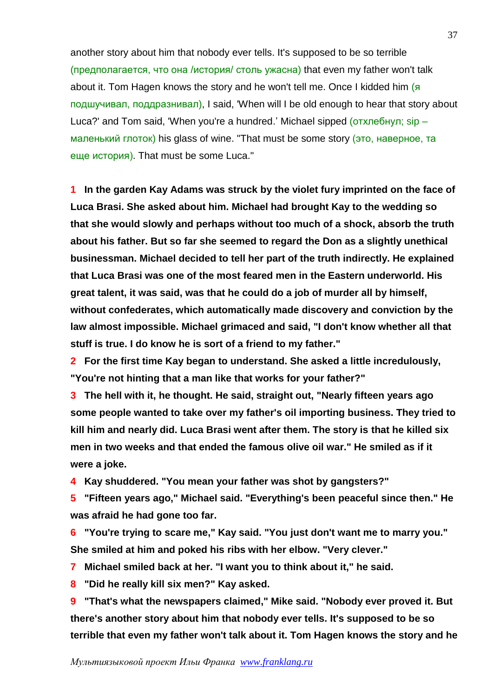another story about him that nobody ever tells. It's supposed to be so terrible (предполагается, что она /история/ столь ужасна) that even my father won't talk about it. Tom Hagen knows the story and he won't tell me. Once I kidded him (я подшучивал, поддразнивал), I said, 'When will I be old enough to hear that story about Luca?' and Tom said, 'When you're a hundred.' Michael sipped (отхлебнул; sip – маленький глоток) his glass of wine. "That must be some story (это, наверное, та еще история). That must be some Luca."

**1 In the garden Kay Adams was struck by the violet fury imprinted on the face of Luca Brasi. She asked about him. Michael had brought Kay to the wedding so that she would slowly and perhaps without too much of a shoсk, absorb the truth about his father. But so far she seemed to regard the Don as a slightly unethical businessman. Michael decided to tell her part of the truth indirectly. He explained that Luca Brasi was one of the most feared men in the Eastern underworld. His great talent, it was said, was that he could do a job of murder all by himself, without confederates, which automatically made discovery and conviction by the law almost impossible. Michael grimaced and said, "I don't know whether all that stuff is true. I do know he is sort of a friend to my father."**

**2 For the first time Kay began to understand. She asked a little incredulously, "You're not hinting that a man like that works for your father?"**

**3 The hell with it, he thought. He said, straight out, "Nearly fifteen years ago some people wanted to take over my father's oil importing business. They tried to kill him and nearly did. Luca Brasi went after them. The story is that he killed six men in two weeks and that ended the famous olive oil war." He smiled as if it were a joke.**

**4 Kay shuddered. "You mean your father was shot by gangsters?"**

**5 "Fifteen years ago," Michael said. "Everything's been peaceful since then." He was afraid he had gone too far.**

**6 "You're trying to scare me," Kay said. "You just don't want me to marry you." She smiled at him and poked his ribs with her elbow. "Very clever."**

**7 Michael smiled back at her. "I want you to think about it," he said.**

**8 "Did he really kill six men?" Kay asked.**

**9 "That's what the newspapers claimed," Mike said. "Nobody ever proved it. But there's another story about him that nobody ever tells. It's supposed to be so terrible that even my father won't talk about it. Tom Hagen knows the story and he**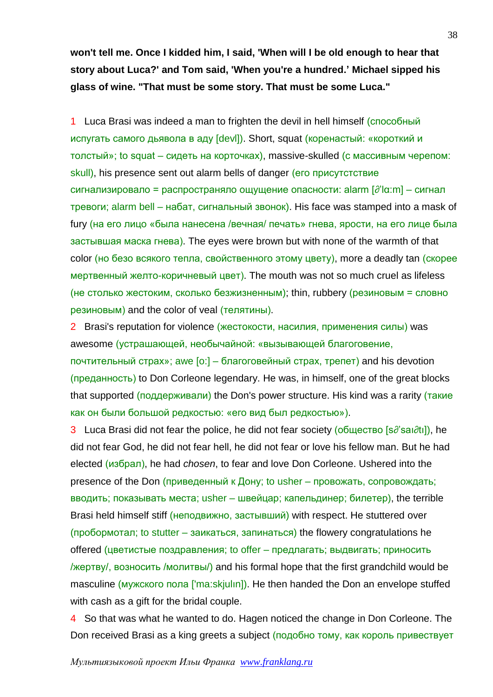**won't tell me. Once I kidded him, I said, 'When will I be old enough to hear that story about Luca?' and Tom said, 'When you're a hundred.' Michael sipped his glass of wine. "That must be some story. That must be some Luca."**

1 Luca Brasi was indeed a man to frighten the devil in hell himself (способный испугать самого дьявола в аду [devl]). Short, squat (коренастый: «короткий и толстый»; to squat – сидеть на корточках), massive-skulled (с массивным черепом: skull), his presence sent out alarm bells of danger (его присутстствие сигнализировало = распространяло ощущение опасности: alarm [∂'lα:m] – сигнал тревоги; alarm bell – набат, сигнальный звонок). His face was stamped into a mask of fury (на его лицо «была нанесена /вечная/ печать» гнева, ярости, на его лице была застывшая маска гнева). The eyes were brown but with none of the warmth of that color (но безо всякого тепла, свойственного этому цвету), more a deadly tan (скорее мертвенный желто-коричневый цвет). The mouth was not so much cruel as lifeless (не столько жестоким, сколько безжизненным); thin, rubbery (резиновым = словно резиновым) and the color of veal (телятины).

2 Brasi's reputation for violence (жестокости, насилия, применения силы) was awesome (устрашающей, необычайной: «вызывающей благоговение, почтительный страх»; awe  $[0:]-$  благоговейный страх, трепет) and his devotion (преданность) to Don Corleone legendary. He was, in himself, one of the great blocks that supported (поддерживали) the Don's power structure. His kind was a rarity (такие как он были большой редкостью: «его вид был редкостью»).

3 Luca Brasi did not fear the police, he did not fear society (общество [s∂'saıдtı]), he did not fear God, he did not fear hell, he did not fear or love his fellow man. But he had elected (избрал), he had *chosen*, to fear and love Don Corleone. Ushered into the presence of the Don (приведенный к Дону; to usher – провожать, сопровождать; вводить; показывать места; usher – швейцар; капельдинер; билетер), the terrible Brasi held himself stiff (неподвижно, застывший) with respect. He stuttered over (пробормотал; to stutter – заикаться, запинаться) the flowery congratulations he offered (цветистые поздравления; to offer – предлагать; выдвигать; приносить /жертву/, возносить /молитвы/) and his formal hope that the first grandchild would be masculine (мужского пола ['ma:skjulin]). He then handed the Don an envelope stuffed with cash as a gift for the bridal couple.

4 So that was what he wanted to do. Hagen noticed the change in Don Corleone. The Don received Brasi as a king greets a subject (подобно тому, как король привествует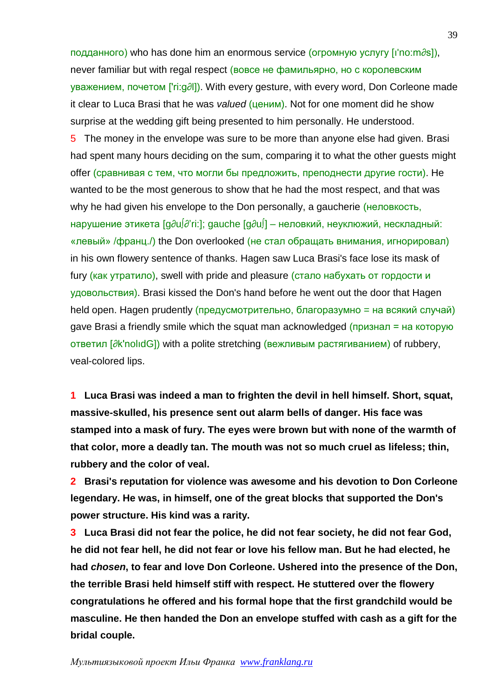подданного) who has done him an enormous service (огромную услугу [ı'no:m∂s]), never familiar but with regal respect (вовсе не фамильярно, но с королевским уважением, почетом ['ri:g∂l]). With every gesture, with every word, Don Corleone made it clear to Luca Brasi that he was *valued* (ценим). Not for one moment did he show surprise at the wedding gift being presented to him personally. He understood.

5 The money in the envelope was sure to be more than anyone else had given. Brasi had spent many hours deciding on the sum, comparing it to what the other guests might offer (сравнивая с тем, что могли бы предложить, преподнести другие гости). He wanted to be the most generous to show that he had the most respect, and that was why he had given his envelope to the Don personally, a gaucherie (неловкость, нарушение этикета [g∂u∫∂'ri:]; gauche [g∂u∫] – неловкий, неуклюжий, нескладный: «левый» /франц./) the Don overlooked (не стал обращать внимания, игнорировал) in his own flowery sentence of thanks. Hagen saw Luca Brasi's face lose its mask of fury (как утратило), swell with pride and pleasure (стало набухать от гордости и удовольствия). Brasi kissed the Don's hand before he went out the door that Hagen held open. Hagen prudently (предусмотрительно, благоразумно = на всякий случай) gave Brasi a friendly smile which the squat man acknowledged (признал = на которую ответил [∂k'nolıdG]) with a polite stretching (вежливым растягиванием) of rubbery, veal-colored lips.

**1 Luca Brasi was indeed a man to frighten the devil in hell himself. Short, squat, massive-skulled, his presence sent out alarm bells of danger. His face was stamped into a mask of fury. The eyes were brown but with none of the warmth of that color, more a deadly tan. The mouth was not so much cruel as lifeless; thin, rubbery and the color of veal.**

**2 Brasi's reputation for violence was awesome and his devotion to Don Corleone legendary. He was, in himself, one of the great blocks that supported the Don's power structure. His kind was a rarity.**

**3 Luca Brasi did not fear the police, he did not fear society, he did not fear God, he did not fear hell, he did not fear or love his fellow man. But he had elected, he had** *chosen***, to fear and love Don Corleone. Ushered into the presence of the Don, the terrible Brasi held himself stiff with respect. He stuttered over the flowery congratulations he offered and his formal hope that the first grandchild would be masculine. He then handed the Don an envelope stuffed with cash as a gift for the bridal couple.**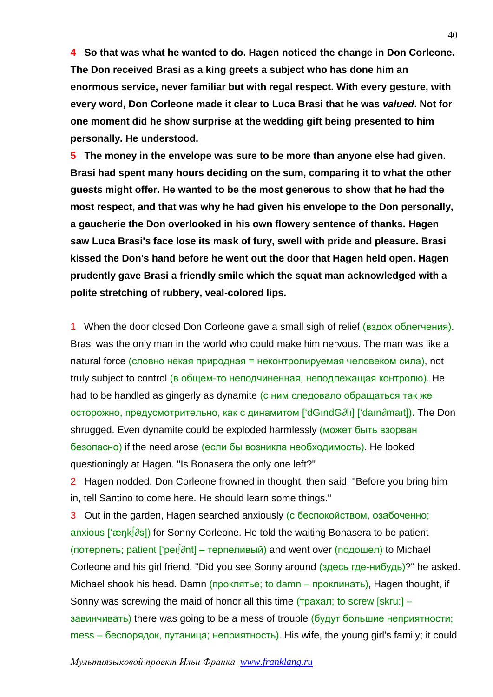**4 So that was what he wanted to do. Hagen noticed the change in Don Corleone. The Don received Brasi as a king greets a subject who has done him an enormous service, never familiar but with regal respect. With every gesture, with every word, Don Corleone made it clear to Luca Brasi that he was** *valued***. Not for one moment did he show surprise at the wedding gift being presented to him personally. He understood.**

**5 The money in the envelope was sure to be more than anyone else had given. Brasi had spent many hours deciding on the sum, comparing it to what the other guests might offer. He wanted to be the most generous to show that he had the most respect, and that was why he had given his envelope to the Don personally, a gaucherie the Don overlooked in his own flowery sentence of thanks. Hagen saw Luca Brasi's face lose its mask of fury, swell with pride and pleasure. Brasi kissed the Don's hand before he went out the door that Hagen held open. Hagen prudently gave Brasi a friendly smile which the squat man acknowledged with a polite stretching of rubbery, veal-colored lips.**

1 When the door closed Don Corleone gave a small sigh of relief (вздох облегчения). Brasi was the only man in the world who could make him nervous. The man was like a natural force (словно некая природная = неконтролируемая человеком сила), not truly subject to control (в общем-то неподчиненная, неподлежащая контролю). He had to be handled as gingerly as dynamite (с ним следовало обращаться так же осторожно, предусмотрительно, как с динамитом ['dGındG∂lı] ['daın∂maıt]). The Don shrugged. Even dynamite could be exploded harmlessly (может быть взорван безопасно) if the need arose (если бы возникла необходимость). He looked questioningly at Hagen. "Is Bonasera the only one left?"

2 Hagen nodded. Don Corleone frowned in thought, then said, "Before you bring him in, tell Santino to come here. He should learn some things."

3 Out in the garden, Hagen searched anxiously (с беспокойством, озабоченно; anxious ['æŋk∫∂s]) for Sonny Corleone. He told the waiting Bonasera to be patient (потерпеть; patient ['peı∫∂nt] – терпеливый) and went over (подошел) to Michael Corleone and his girl friend. "Did you see Sonny around (здесь где-нибудь)?" he asked. Michael shook his head. Damn (проклятье; to damn – проклинать), Hagen thought, if Sonny was screwing the maid of honor all this time (трахал; to screw [skru:] – завинчивать) there was going to be a mess of trouble (будут большие неприятности; mess – беспорядок, путаница; неприятность). His wife, the young girl's family; it could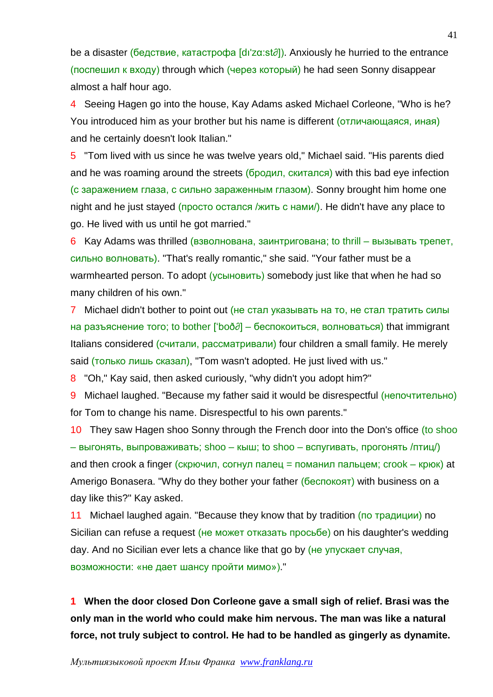be a disaster (бедствие, катастрофа [dı'zα:st∂]). Anxiously he hurried to the entrance (поспешил к входу) through which (через который) he had seen Sonny disappear almost a half hour ago.

4 Seeing Hagen go into the house, Kay Adams asked Michael Corleone, "Who is he? You introduced him as your brother but his name is different (отличающаяся, иная) and he certainly doesn't look Italian."

5 "Tom lived with us since he was twelve years old," Michael said. "His parents died and he was roaming around the streets (бродил, скитался) with this bad eye infection (с заражением глаза, с сильно зараженным глазом). Sonny brought him home one night and he just stayed (просто остался /жить с нами/). He didn't have any place to go. He lived with us until he got married."

6 Kay Adams was thrilled (взволнована, заинтригована; to thrill – вызывать трепет, сильно волновать). "That's really romantic," she said. "Your father must be a warmhearted person. To adopt (усыновить) somebody just like that when he had so many children of his own."

7 Michael didn't bother to point out (не стал указывать на то, не стал тратить силы на разъяснение того; to bother ['boð∂] – беспокоиться, волноваться) that immigrant Italians considered (считали, рассматривали) four children a small family. He merely said (только лишь сказал), "Tom wasn't adopted. He just lived with us."

8 "Oh," Kay said, then asked curiously, "why didn't you adopt him?"

9 Michael laughed. "Because my father said it would be disrespectful (непочтительно) for Tom to change his name. Disrespectful to his own parents."

10 They saw Hagen shoo Sonny through the French door into the Don's office (to shoo – выгонять, выпроваживать; shoo – кыш; to shoo – вспугивать, прогонять /птиц/) and then crook a finger (скрючил, согнул палец = поманил пальцем; crook – крюк) at Amerigo Bonasera. "Why do they bother your father (беспокоят) with business on a day like this?" Kay asked.

11 Michael laughed again. "Because they know that by tradition (по традиции) no Sicilian can refuse a request (не может отказать просьбе) on his daughter's wedding day. And no Sicilian ever lets a chance like that go by (не упускает случая, возможности: «не дает шансу пройти мимо»)."

**1 When the door closed Don Corleone gave a small sigh of relief. Brasi was the only man in the world who could make him nervous. The man was like a natural force, not truly subject to control. He had to be handled as gingerly as dynamite.**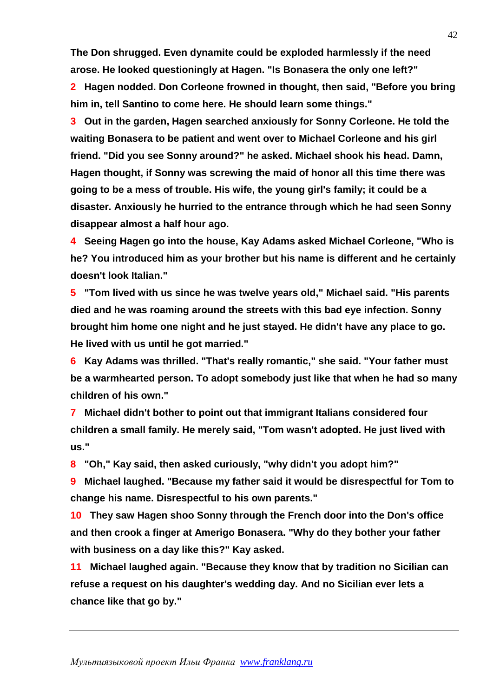**The Don shrugged. Even dynamite could be exploded harmlessly if the need arose. He looked questioningly at Hagen. "Is Bonasera the only one left?"**

**2 Hagen nodded. Don Corleone frowned in thought, then said, "Before you bring him in, tell Santino to come here. He should learn some things."** 

**3 Out in the garden, Hagen searched anxiously for Sonny Corleone. He told the waiting Bonasera to be patient and went over to Michael Corleone and his girl friend. "Did you see Sonny around?" he asked. Michael shook his head. Damn, Hagen thought, if Sonny was screwing the maid of honor all this time there was going to be a mess of trouble. His wife, the young girl's family; it could be a disaster. Anxiously he hurried to the entrance through which he had seen Sonny disappear almost a half hour ago.**

**4 Seeing Hagen go into the house, Kay Adams asked Michael Corleone, "Who is he? You introduced him as your brother but his name is different and he certainly doesn't look Italian."**

**5 "Tom lived with us since he was twelve years old," Michael said. "His parents died and he was roaming around the streets with this bad eye infection. Sonny brought him home one night and he just stayed. He didn't have any place to go. He lived with us until he got married."**

**6 Kay Adams was thrilled. "That's really romantic," she said. "Your father must be a warmhearted person. To adopt somebody just like that when he had so many children of his own."**

**7 Michael didn't bother to point out that immigrant Italians considered four children a small family. He merely said, "Tom wasn't adopted. He just lived with us."**

**8 "Oh," Kay said, then asked curiously, "why didn't you adopt him?"**

**9 Michael laughed. "Because my father said it would be disrespectful for Tom to change his name. Disrespectful to his own parents."**

**10 They saw Hagen shoo Sonny through the French door into the Don's office and then crook a finger at Amerigo Bonasera. "Why do they bother your father with business on a day like this?" Kay asked.**

**11 Michael laughed again. "Because they know that by tradition no Sicilian can refuse a request on his daughter's wedding day. And no Sicilian ever lets a chance like that go by."**